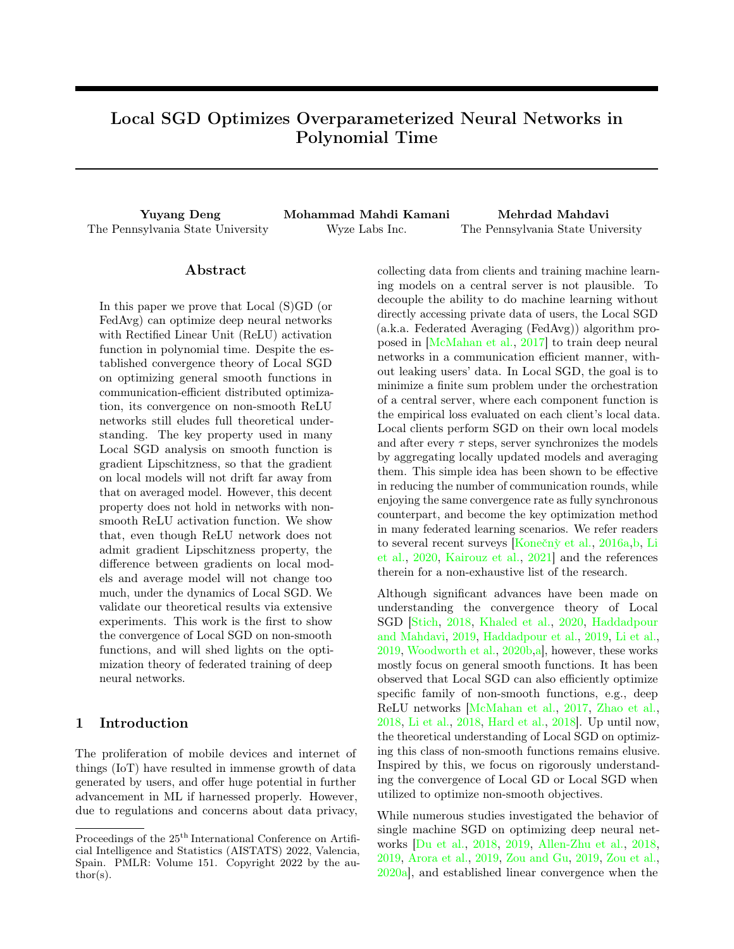# Local SGD Optimizes Overparameterized Neural Networks in Polynomial Time

The Pennsylvania State University Wyze Labs Inc. The Pennsylvania State University

Yuyang Deng Mohammad Mahdi Kamani Mehrdad Mahdavi

### Abstract

In this paper we prove that Local (S)GD (or FedAvg) can optimize deep neural networks with Rectified Linear Unit (ReLU) activation function in polynomial time. Despite the established convergence theory of Local SGD on optimizing general smooth functions in communication-efficient distributed optimization, its convergence on non-smooth ReLU networks still eludes full theoretical understanding. The key property used in many Local SGD analysis on smooth function is gradient Lipschitzness, so that the gradient on local models will not drift far away from that on averaged model. However, this decent property does not hold in networks with nonsmooth ReLU activation function. We show that, even though ReLU network does not admit gradient Lipschitzness property, the difference between gradients on local models and average model will not change too much, under the dynamics of Local SGD. We validate our theoretical results via extensive experiments. This work is the first to show the convergence of Local SGD on non-smooth functions, and will shed lights on the optimization theory of federated training of deep neural networks.

### 1 Introduction

The proliferation of mobile devices and internet of things (IoT) have resulted in immense growth of data generated by users, and offer huge potential in further advancement in ML if harnessed properly. However, due to regulations and concerns about data privacy, collecting data from clients and training machine learning models on a central server is not plausible. To decouple the ability to do machine learning without directly accessing private data of users, the Local SGD (a.k.a. Federated Averaging (FedAvg)) algorithm proposed in [\[McMahan et al.,](#page-9-0) [2017\]](#page-9-0) to train deep neural networks in a communication efficient manner, without leaking users' data. In Local SGD, the goal is to minimize a finite sum problem under the orchestration of a central server, where each component function is the empirical loss evaluated on each client's local data. Local clients perform SGD on their own local models and after every  $\tau$  steps, server synchronizes the models by aggregating locally updated models and averaging them. This simple idea has been shown to be effective in reducing the number of communication rounds, while enjoying the same convergence rate as fully synchronous counterpart, and become the key optimization method in many federated learning scenarios. We refer readers to several recent surveys [Konečnỳ et al., [2016a,](#page-8-0)[b,](#page-8-1) [Li](#page-8-2) [et al.,](#page-8-2) [2020,](#page-8-2) [Kairouz et al.,](#page-8-3) [2021\]](#page-8-3) and the references therein for a non-exhaustive list of the research.

Although significant advances have been made on understanding the convergence theory of Local SGD [\[Stich,](#page-9-1) [2018,](#page-9-1) [Khaled et al.,](#page-8-4) [2020,](#page-8-4) [Haddadpour](#page-8-5) [and Mahdavi,](#page-8-5) [2019,](#page-8-5) [Haddadpour et al.,](#page-8-6) [2019,](#page-8-6) [Li et al.,](#page-8-7) [2019,](#page-8-7) [Woodworth et al.,](#page-9-2) [2020b,](#page-9-2)[a\]](#page-9-3), however, these works mostly focus on general smooth functions. It has been observed that Local SGD can also efficiently optimize specific family of non-smooth functions, e.g., deep ReLU networks [\[McMahan et al.,](#page-9-0) [2017,](#page-9-0) [Zhao et al.,](#page-9-4) [2018,](#page-9-4) [Li et al.,](#page-8-8) [2018,](#page-8-8) [Hard et al.,](#page-8-9) [2018\]](#page-8-9). Up until now, the theoretical understanding of Local SGD on optimizing this class of non-smooth functions remains elusive. Inspired by this, we focus on rigorously understanding the convergence of Local GD or Local SGD when utilized to optimize non-smooth objectives.

While numerous studies investigated the behavior of single machine SGD on optimizing deep neural networks [\[Du et al.,](#page-8-10) [2018,](#page-8-10) [2019,](#page-8-11) [Allen-Zhu et al.,](#page-8-12) [2018,](#page-8-12) [2019,](#page-8-13) [Arora et al.,](#page-8-14) [2019,](#page-8-14) [Zou and Gu,](#page-9-5) [2019,](#page-9-5) [Zou et al.,](#page-9-6) [2020a\]](#page-9-6), and established linear convergence when the

Proceedings of the  $25<sup>th</sup>$  International Conference on Artificial Intelligence and Statistics (AISTATS) 2022, Valencia, Spain. PMLR: Volume 151. Copyright 2022 by the au- $\text{thor}(s)$ .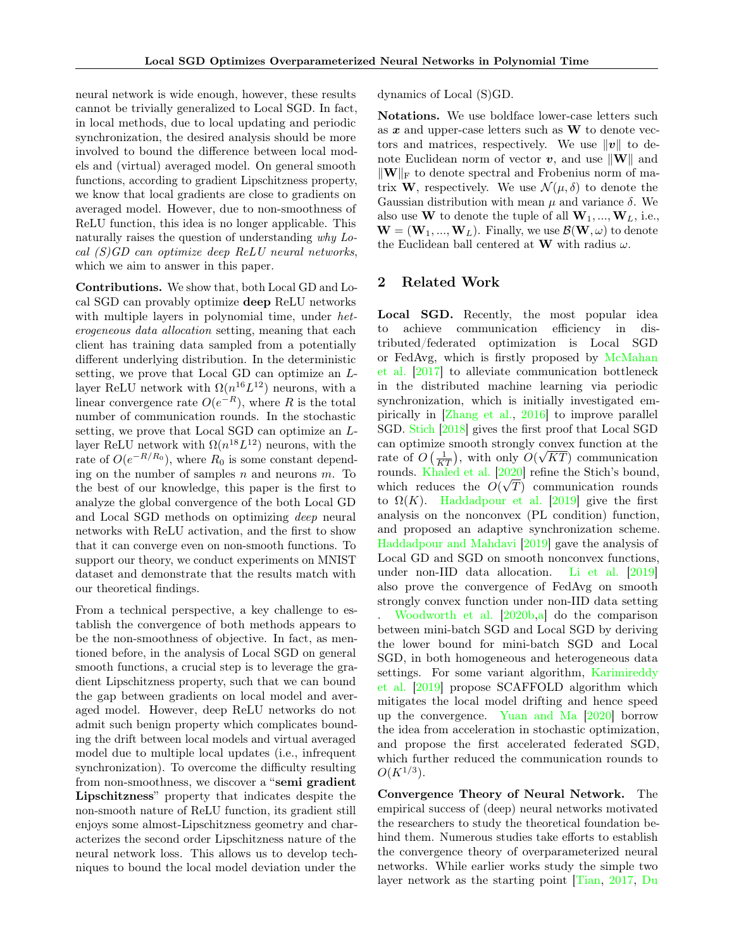neural network is wide enough, however, these results cannot be trivially generalized to Local SGD. In fact, in local methods, due to local updating and periodic synchronization, the desired analysis should be more involved to bound the difference between local models and (virtual) averaged model. On general smooth functions, according to gradient Lipschitzness property, we know that local gradients are close to gradients on averaged model. However, due to non-smoothness of ReLU function, this idea is no longer applicable. This naturally raises the question of understanding why Local (S)GD can optimize deep ReLU neural networks, which we aim to answer in this paper.

Contributions. We show that, both Local GD and Local SGD can provably optimize deep ReLU networks with multiple layers in polynomial time, under *het*erogeneous data allocation setting, meaning that each client has training data sampled from a potentially different underlying distribution. In the deterministic setting, we prove that Local GD can optimize an Llayer ReLU network with  $\Omega(n^{16}L^{12})$  neurons, with a linear convergence rate  $O(e^{-R})$ , where R is the total number of communication rounds. In the stochastic setting, we prove that Local SGD can optimize an Llayer ReLU network with  $\Omega(n^{18}L^{12})$  neurons, with the rate of  $O(e^{-R/R_0})$ , where  $R_0$  is some constant depending on the number of samples  $n$  and neurons  $m$ . To the best of our knowledge, this paper is the first to analyze the global convergence of the both Local GD and Local SGD methods on optimizing deep neural networks with ReLU activation, and the first to show that it can converge even on non-smooth functions. To support our theory, we conduct experiments on MNIST dataset and demonstrate that the results match with our theoretical findings.

From a technical perspective, a key challenge to establish the convergence of both methods appears to be the non-smoothness of objective. In fact, as mentioned before, in the analysis of Local SGD on general smooth functions, a crucial step is to leverage the gradient Lipschitzness property, such that we can bound the gap between gradients on local model and averaged model. However, deep ReLU networks do not admit such benign property which complicates bounding the drift between local models and virtual averaged model due to multiple local updates (i.e., infrequent synchronization). To overcome the difficulty resulting from non-smoothness, we discover a "semi gradient Lipschitzness" property that indicates despite the non-smooth nature of ReLU function, its gradient still enjoys some almost-Lipschitzness geometry and characterizes the second order Lipschitzness nature of the neural network loss. This allows us to develop techniques to bound the local model deviation under the dynamics of Local (S)GD.

Notations. We use boldface lower-case letters such as  $x$  and upper-case letters such as  $W$  to denote vectors and matrices, respectively. We use  $\|v\|$  to denote Euclidean norm of vector  $v$ , and use  $\|\mathbf{W}\|$  and  $\|\mathbf{W}\|_{\text{F}}$  to denote spectral and Frobenius norm of matrix **W**, respectively. We use  $\mathcal{N}(\mu, \delta)$  to denote the Gaussian distribution with mean  $\mu$  and variance  $\delta$ . We also use **W** to denote the tuple of all  $W_1, ..., W_L$ , i.e.,  $\mathbf{W} = (\mathbf{W}_1, ..., \mathbf{W}_L)$ . Finally, we use  $\mathcal{B}(\mathbf{W}, \omega)$  to denote the Euclidean ball centered at **W** with radius  $\omega$ .

#### 2 Related Work

Local SGD. Recently, the most popular idea to achieve communication efficiency in distributed/federated optimization is Local SGD or FedAvg, which is firstly proposed by [McMahan](#page-9-0) [et al.](#page-9-0) [\[2017\]](#page-9-0) to alleviate communication bottleneck in the distributed machine learning via periodic synchronization, which is initially investigated empirically in [\[Zhang et al.,](#page-9-7) [2016\]](#page-9-7) to improve parallel SGD. [Stich](#page-9-1) [\[2018\]](#page-9-1) gives the first proof that Local SGD can optimize smooth strongly convex function at the √ rate of  $O\left(\frac{1}{KT}\right)$ , with only  $O(\sqrt{KT})$  communication rounds. [Khaled et al.](#page-8-4)  $[2020]$  refine the Stich's bound, which reduces the  $O(\sqrt{T})$  communication rounds to  $\Omega(K)$ . [Haddadpour et al.](#page-8-6) [\[2019\]](#page-8-6) give the first analysis on the nonconvex (PL condition) function, and proposed an adaptive synchronization scheme. [Haddadpour and Mahdavi](#page-8-5) [\[2019\]](#page-8-5) gave the analysis of Local GD and SGD on smooth nonconvex functions, under non-IID data allocation. [Li et al.](#page-8-7) [\[2019\]](#page-8-7) also prove the convergence of FedAvg on smooth strongly convex function under non-IID data setting . [Woodworth et al.](#page-9-2) [\[2020b,](#page-9-2)[a\]](#page-9-3) do the comparison between mini-batch SGD and Local SGD by deriving the lower bound for mini-batch SGD and Local SGD, in both homogeneous and heterogeneous data settings. For some variant algorithm, [Karimireddy](#page-8-15) [et al.](#page-8-15) [\[2019\]](#page-8-15) propose SCAFFOLD algorithm which mitigates the local model drifting and hence speed up the convergence. [Yuan and Ma](#page-9-8) [\[2020\]](#page-9-8) borrow the idea from acceleration in stochastic optimization, and propose the first accelerated federated SGD, which further reduced the communication rounds to  $O(K^{1/3})$ .

Convergence Theory of Neural Network. The empirical success of (deep) neural networks motivated the researchers to study the theoretical foundation behind them. Numerous studies take efforts to establish the convergence theory of overparameterized neural networks. While earlier works study the simple two [layer network as the starting point](#page-8-16) [\[Tian,](#page-9-9) [2017,](#page-9-9) [Du](#page-8-16)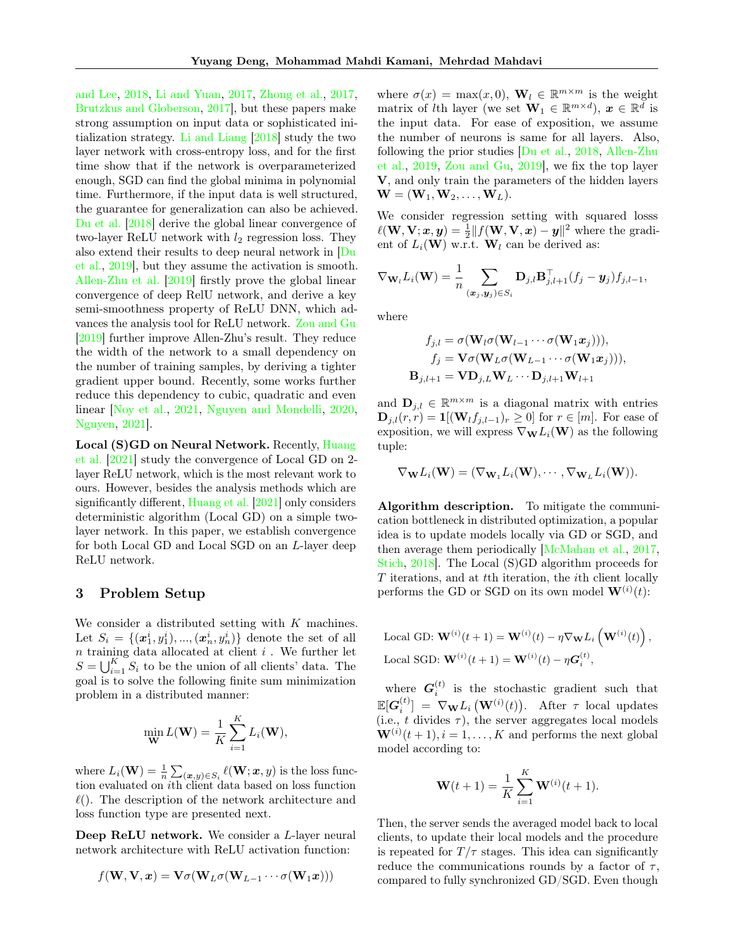[and Lee,](#page-8-16) [2018,](#page-8-16) [Li and Yuan,](#page-9-10) [2017,](#page-9-10) [Zhong et al.,](#page-9-11) [2017,](#page-9-11) [Brutzkus and Globerson,](#page-8-17) [2017\]](#page-8-17), but these papers make strong assumption on input data or sophisticated initialization strategy. [Li and Liang](#page-8-18) [\[2018\]](#page-8-18) study the two layer network with cross-entropy loss, and for the first time show that if the network is overparameterized enough, SGD can find the global minima in polynomial time. Furthermore, if the input data is well structured, the guarantee for generalization can also be achieved. [Du et al.](#page-8-10) [\[2018\]](#page-8-10) derive the global linear convergence of two-layer ReLU network with  $l_2$  regression loss. They also extend their results to deep neural network in [\[Du](#page-8-11) [et al.,](#page-8-11) [2019\]](#page-8-11), but they assume the activation is smooth. [Allen-Zhu et al.](#page-8-13) [\[2019\]](#page-8-13) firstly prove the global linear convergence of deep RelU network, and derive a key semi-smoothness property of ReLU DNN, which advances the analysis tool for ReLU network. [Zou and Gu](#page-9-5) [\[2019\]](#page-9-5) further improve Allen-Zhu's result. They reduce the width of the network to a small dependency on the number of training samples, by deriving a tighter gradient upper bound. Recently, some works further reduce this dependency to cubic, quadratic and even linear [\[Noy et al.,](#page-9-12) [2021,](#page-9-12) [Nguyen and Mondelli,](#page-9-13) [2020,](#page-9-13) [Nguyen,](#page-9-14) [2021\]](#page-9-14).

Local (S)GD on Neural Network. Recently, [Huang](#page-8-19) [et al.](#page-8-19) [\[2021\]](#page-8-19) study the convergence of Local GD on 2 layer ReLU network, which is the most relevant work to ours. However, besides the analysis methods which are significantly different, [Huang et al.](#page-8-19) [\[2021\]](#page-8-19) only considers deterministic algorithm (Local GD) on a simple twolayer network. In this paper, we establish convergence for both Local GD and Local SGD on an L-layer deep ReLU network.

### 3 Problem Setup

We consider a distributed setting with  $K$  machines. Let  $S_i = \{(\mathbf{x}_1^i, y_1^i), ..., (\mathbf{x}_n^i, y_n^i)\}$  denote the set of all  $n$  training data allocated at client  $i$ . We further let  $S = \bigcup_{i=1}^{K} S_i$  to be the union of all clients' data. The goal is to solve the following finite sum minimization problem in a distributed manner:

$$
\min_{\mathbf{W}} L(\mathbf{W}) = \frac{1}{K} \sum_{i=1}^{K} L_i(\mathbf{W}),
$$

where  $L_i(\mathbf{W}) = \frac{1}{n} \sum_{(\bm{x}, y) \in S_i} \ell(\mathbf{W}; \bm{x}, y)$  is the loss function evaluated on ith client data based on loss function  $\ell$ ). The description of the network architecture and loss function type are presented next.

Deep ReLU network. We consider a L-layer neural network architecture with ReLU activation function:

$$
f(\mathbf{W},\mathbf{V},\bm{x})=\mathbf{V}\sigma(\mathbf{W}_L\sigma(\mathbf{W}_{L-1}\cdots\sigma(\mathbf{W}_1\bm{x})))
$$

where  $\sigma(x) = \max(x, 0)$ ,  $\mathbf{W}_l \in \mathbb{R}^{m \times m}$  is the weight matrix of *l*th layer (we set  $\mathbf{W}_1 \in \mathbb{R}^{m \times d}$ ),  $\mathbf{x} \in \mathbb{R}^{\bar{d}}$  is the input data. For ease of exposition, we assume the number of neurons is same for all layers. Also, following the prior studies [\[Du et al.,](#page-8-10) [2018,](#page-8-10) [Allen-Zhu](#page-8-13) [et al.,](#page-8-13) [2019,](#page-8-13) [Zou and Gu,](#page-9-5) [2019\]](#page-9-5), we fix the top layer V, and only train the parameters of the hidden layers  $\mathbf{W} = (\mathbf{W}_1, \mathbf{W}_2, \dots, \mathbf{W}_L).$ 

We consider regression setting with squared losss  $\ell(\mathbf{W}, \mathbf{V}; \boldsymbol{x}, \boldsymbol{y}) = \frac{1}{2} || f(\mathbf{W}, \mathbf{V}, \boldsymbol{x}) - \boldsymbol{y} ||^2$  where the gradient of  $L_i(\mathbf{W})$  w.r.t.  $\mathbf{W}_l$  can be derived as:

$$
\nabla_{\mathbf{W}_l} L_i(\mathbf{W}) = \frac{1}{n} \sum_{(\mathbf{x}_j, \mathbf{y}_j) \in S_i} \mathbf{D}_{j,l} \mathbf{B}_{j,l+1}^{\top} (f_j - \mathbf{y}_j) f_{j,l-1},
$$

where

$$
f_{j,l} = \sigma(\mathbf{W}_l \sigma(\mathbf{W}_{l-1} \cdots \sigma(\mathbf{W}_1 x_j))),
$$
  
\n
$$
f_j = \mathbf{V} \sigma(\mathbf{W}_L \sigma(\mathbf{W}_{L-1} \cdots \sigma(\mathbf{W}_1 x_j))),
$$
  
\n
$$
\mathbf{B}_{j,l+1} = \mathbf{V} \mathbf{D}_{j,L} \mathbf{W}_L \cdots \mathbf{D}_{j,l+1} \mathbf{W}_{l+1}
$$

and  $\mathbf{D}_{j,l} \in \mathbb{R}^{m \times m}$  is a diagonal matrix with entries  $\mathbf{D}_{j,l}(r,r) = \mathbf{1}[(\mathbf{W}_l f_{j,l-1})_r \geq 0]$  for  $r \in [m]$ . For ease of exposition, we will express  $\nabla_{\mathbf{W}} L_i(\mathbf{W})$  as the following tuple:

$$
\nabla_{\mathbf{W}}L_i(\mathbf{W}) = (\nabla_{\mathbf{W}_1}L_i(\mathbf{W}), \cdots, \nabla_{\mathbf{W}_L}L_i(\mathbf{W})).
$$

Algorithm description. To mitigate the communication bottleneck in distributed optimization, a popular idea is to update models locally via GD or SGD, and then average them periodically [\[McMahan et al.,](#page-9-0) [2017,](#page-9-0) [Stich,](#page-9-1) [2018\]](#page-9-1). The Local (S)GD algorithm proceeds for T iterations, and at tth iteration, the ith client locally performs the GD or SGD on its own model  $\mathbf{W}^{(i)}(t)$ :

Local GD: 
$$
\mathbf{W}^{(i)}(t+1) = \mathbf{W}^{(i)}(t) - \eta \nabla_{\mathbf{W}} L_i \left( \mathbf{W}^{(i)}(t) \right),
$$
  
Local SGD:  $\mathbf{W}^{(i)}(t+1) = \mathbf{W}^{(i)}(t) - \eta \mathbf{G}_i^{(t)},$ 

where  $G_i^{(t)}$  is the stochastic gradient such that  $\mathbb{E}[\boldsymbol{G}_i^{(t)}] = \nabla_{\mathbf{W}} L_i\left(\mathbf{W}^{(i)}(t)\right)$ . After  $\tau$  local updates (i.e., t divides  $\tau$ ), the server aggregates local models  $\mathbf{W}^{(i)}(t+1), i = 1, \ldots, K$  and performs the next global model according to:

$$
\mathbf{W}(t+1) = \frac{1}{K} \sum_{i=1}^{K} \mathbf{W}^{(i)}(t+1).
$$

Then, the server sends the averaged model back to local clients, to update their local models and the procedure is repeated for  $T/\tau$  stages. This idea can significantly reduce the communications rounds by a factor of  $\tau$ , compared to fully synchronized GD/SGD. Even though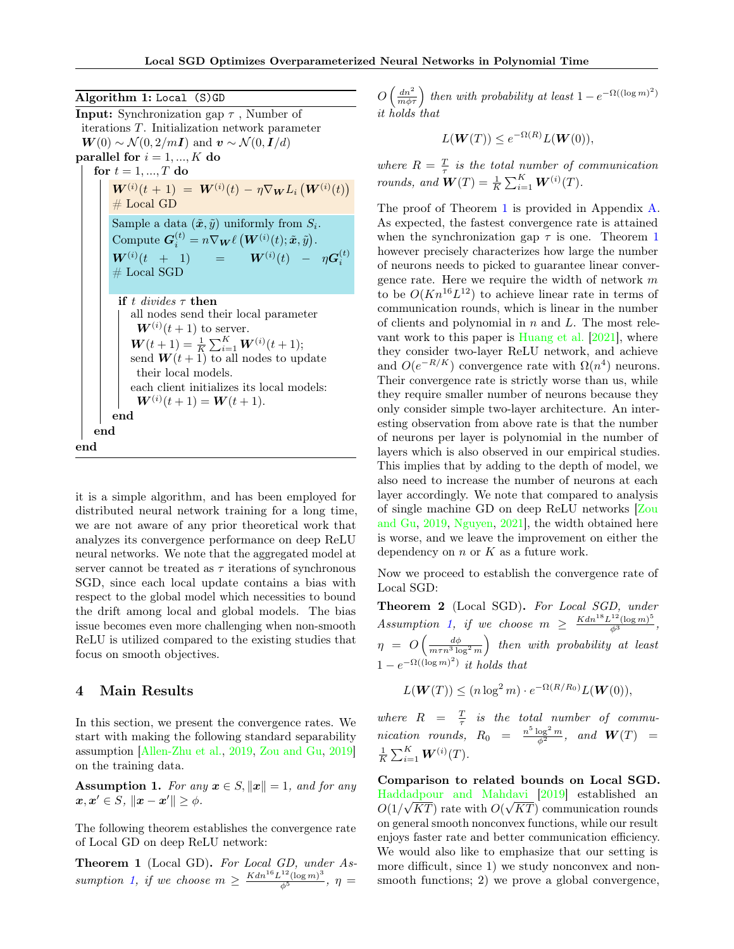Algorithm 1: Local (S)GD **Input:** Synchronization gap  $\tau$ , Number of iterations T. Initialization network parameter  $W(0) \sim \mathcal{N}(0, 2/m\mathbf{I})$  and  $\mathbf{v} \sim \mathcal{N}(0, \mathbf{I}/d)$ parallel for  $i = 1, ..., K$  do for  $t = 1, ..., T$  do  $\bm{W}^{(i)}(t+1) = \bm{W}^{(i)}(t) - \eta \nabla_{\bm{W}} L_i \left( \bm{W}^{(i)}(t) \right)$  $#$  Local GD Sample a data  $(\tilde{x}, \tilde{y})$  uniformly from  $S_i$ . Compute  $\boldsymbol{G}_i^{(t)} = n \nabla_{\boldsymbol{W}} \ell \left( \boldsymbol{W}^{(i)}(t) ; \tilde{\boldsymbol{x}}, \tilde{y} \right)$ .  $\bm{W}^{(i)}(t$  + 1) =  $\bm{W}^{(i)}(t)$  –  $\eta \bm{G}_i^{(t)}$  $#$  Local SGD if t divides  $\tau$  then all nodes send their local parameter  $W^{(i)}(t+1)$  to server.  $\boldsymbol{W}(t+1) = \frac{1}{K} \sum_{i=1}^{K} \boldsymbol{W}^{(i)}(t+1);$ send  $W(t + 1)$  to all nodes to update their local models. each client initializes its local models:  $W^{(i)}(t+1) = W(t+1).$ end end end

it is a simple algorithm, and has been employed for distributed neural network training for a long time, we are not aware of any prior theoretical work that analyzes its convergence performance on deep ReLU neural networks. We note that the aggregated model at server cannot be treated as  $\tau$  iterations of synchronous SGD, since each local update contains a bias with respect to the global model which necessities to bound the drift among local and global models. The bias issue becomes even more challenging when non-smooth ReLU is utilized compared to the existing studies that focus on smooth objectives.

### 4 Main Results

In this section, we present the convergence rates. We start with making the following standard separability assumption [\[Allen-Zhu et al.,](#page-8-13) [2019,](#page-8-13) [Zou and Gu,](#page-9-5) [2019\]](#page-9-5) on the training data.

<span id="page-3-0"></span>**Assumption 1.** For any  $x \in S$ ,  $||x|| = 1$ , and for any  $\boldsymbol{x}, \boldsymbol{x}' \in S, ||\boldsymbol{x} - \boldsymbol{x}'|| \geq \phi.$ 

The following theorem establishes the convergence rate of Local GD on deep ReLU network:

<span id="page-3-1"></span>Theorem 1 (Local GD). For Local GD, under As-sumption [1,](#page-3-0) if we choose  $m \geq \frac{Kdn^{16}L^{12}(\log m)^3}{\phi^5}$ ,  $\eta =$ 

 $O\left(\frac{dn^2}{m\phi\tau}\right)$  then with probability at least  $1-e^{-\Omega((\log m)^2)}$ it holds that

$$
L(\mathbf{W}(T)) \le e^{-\Omega(R)} L(\mathbf{W}(0)),
$$

where  $R = \frac{T}{\tau}$  is the total number of communication rounds, and  $\mathbf{W}(T) = \frac{1}{K} \sum_{i=1}^{K} \mathbf{W}^{(i)}(T)$ .

The proof of Theorem [1](#page-3-1) is provided in Appendix [A.](#page-10-0) As expected, the fastest convergence rate is attained when the synchronization gap  $\tau$  is one. Theorem [1](#page-3-1) however precisely characterizes how large the number of neurons needs to picked to guarantee linear convergence rate. Here we require the width of network  $m$ to be  $O(Kn^{16}L^{12})$  to achieve linear rate in terms of communication rounds, which is linear in the number of clients and polynomial in  $n$  and  $L$ . The most relevant work to this paper is [Huang et al.](#page-8-19) [\[2021\]](#page-8-19), where they consider two-layer ReLU network, and achieve and  $O(e^{-R/K})$  convergence rate with  $\Omega(n^4)$  neurons. Their convergence rate is strictly worse than us, while they require smaller number of neurons because they only consider simple two-layer architecture. An interesting observation from above rate is that the number of neurons per layer is polynomial in the number of layers which is also observed in our empirical studies. This implies that by adding to the depth of model, we also need to increase the number of neurons at each layer accordingly. We note that compared to analysis of single machine GD on deep ReLU networks [\[Zou](#page-9-5) [and Gu,](#page-9-5) [2019,](#page-9-5) [Nguyen,](#page-9-14) [2021\]](#page-9-14), the width obtained here is worse, and we leave the improvement on either the dependency on  $n$  or  $K$  as a future work.

Now we proceed to establish the convergence rate of Local SGD:

<span id="page-3-2"></span>Theorem 2 (Local SGD). For Local SGD, under  $Assumption 1, if we choose m \geq \frac{Kdn^{18}L^{12}(\log m)^5}{\phi^3},$  $Assumption 1, if we choose m \geq \frac{Kdn^{18}L^{12}(\log m)^5}{\phi^3},$  $Assumption 1, if we choose m \geq \frac{Kdn^{18}L^{12}(\log m)^5}{\phi^3},$  $\eta = O\left(\frac{d\phi}{m\tau n^3 \log^2 m}\right)$  then with probability at least  $1-e^{-\Omega((\log m)^2)}$  it holds that

$$
L(\mathbf{W}(T)) \le (n \log^2 m) \cdot e^{-\Omega(R/R_0)} L(\mathbf{W}(0)),
$$

where  $R = \frac{T}{\tau}$  is the total number of communication rounds,  $R_0 = \frac{n^5 \log^2 m}{\phi^2}$ , and  $W(T) =$  $\frac{1}{K}\sum_{i=1}^K \boldsymbol{W}^{(i)}(T).$ 

Comparison to related bounds on Local SGD. [Haddadpour and Mahdavi](#page-8-5) [\[2019\]](#page-8-5) established an  $O(1/\sqrt{KT})$  rate with  $O(\sqrt{KT})$  communication rounds on general smooth nonconvex functions, while our result enjoys faster rate and better communication efficiency. We would also like to emphasize that our setting is more difficult, since 1) we study nonconvex and nonsmooth functions; 2) we prove a global convergence,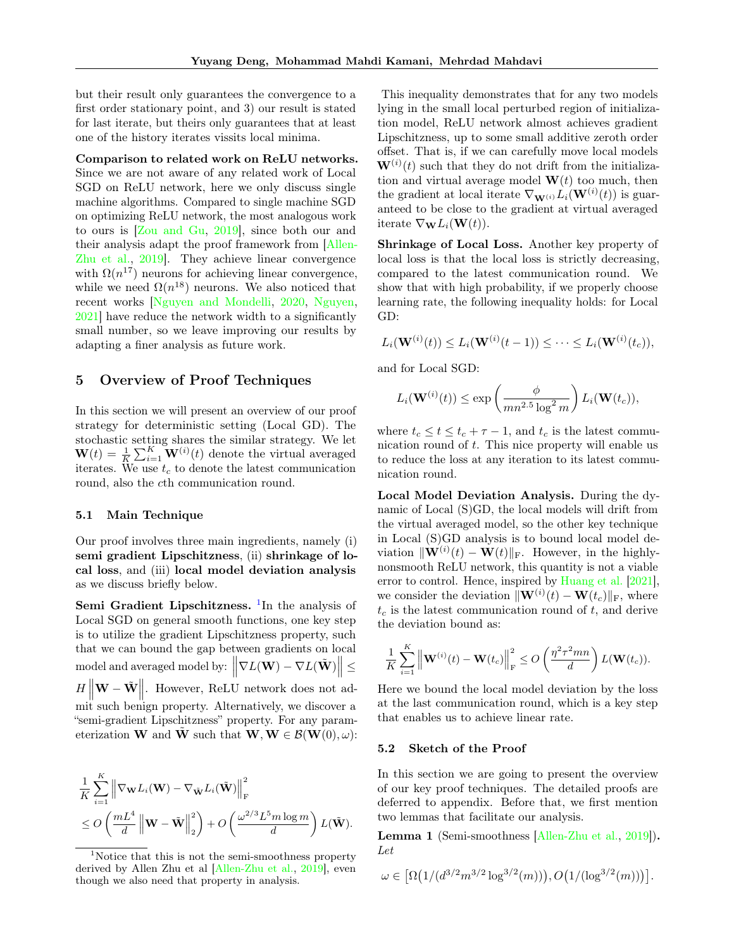but their result only guarantees the convergence to a first order stationary point, and 3) our result is stated for last iterate, but theirs only guarantees that at least one of the history iterates vissits local minima.

Comparison to related work on ReLU networks. Since we are not aware of any related work of Local SGD on ReLU network, here we only discuss single machine algorithms. Compared to single machine SGD on optimizing ReLU network, the most analogous work to ours is [\[Zou and Gu,](#page-9-5) [2019\]](#page-9-5), since both our and their analysis adapt the proof framework from [\[Allen-](#page-8-13)[Zhu et al.,](#page-8-13) [2019\]](#page-8-13). They achieve linear convergence with  $\Omega(n^{17})$  neurons for achieving linear convergence, while we need  $\Omega(n^{18})$  neurons. We also noticed that recent works [\[Nguyen and Mondelli,](#page-9-13) [2020,](#page-9-13) [Nguyen,](#page-9-14) [2021\]](#page-9-14) have reduce the network width to a significantly small number, so we leave improving our results by adapting a finer analysis as future work.

### 5 Overview of Proof Techniques

In this section we will present an overview of our proof strategy for deterministic setting (Local GD). The stochastic setting shares the similar strategy. We let  $\mathbf{W}(t) = \frac{1}{K} \sum_{i=1}^{K} \mathbf{W}^{(i)}(t)$  denote the virtual averaged iterates. We use  $t_c$  to denote the latest communication round, also the cth communication round.

#### 5.1 Main Technique

Our proof involves three main ingredients, namely (i) semi gradient Lipschitzness, (ii) shrinkage of local loss, and (iii) local model deviation analysis as we discuss briefly below.

Semi Gradient Lipschitzness. <sup>[1](#page-4-0)</sup>In the analysis of Local SGD on general smooth functions, one key step is to utilize the gradient Lipschitzness property, such that we can bound the gap between gradients on local model and averaged model by:  $\left\| \nabla L(\mathbf{W}) - \nabla L(\tilde{\mathbf{W}}) \right\| \le$  $H \left\| \mathbf{W} - \tilde{\mathbf{W}} \right\|$ . However, ReLU network does not admit such benign property. Alternatively, we discover a "semi-gradient Lipschitzness" property. For any parameterization **W** and **W** such that  $\mathbf{W}, \mathbf{W} \in \mathcal{B}(\mathbf{W}(0), \omega)$ :

$$
\frac{1}{K} \sum_{i=1}^{K} \left\| \nabla_{\mathbf{W}} L_i(\mathbf{W}) - \nabla_{\tilde{\mathbf{W}}} L_i(\tilde{\mathbf{W}}) \right\|_{\text{F}}^2
$$
  
\n
$$
\leq O\left(\frac{mL^4}{d} \left\| \mathbf{W} - \tilde{\mathbf{W}} \right\|_2^2\right) + O\left(\frac{\omega^{2/3} L^5 m \log m}{d}\right) L(\tilde{\mathbf{W}}).
$$

This inequality demonstrates that for any two models lying in the small local perturbed region of initialization model, ReLU network almost achieves gradient Lipschitzness, up to some small additive zeroth order offset. That is, if we can carefully move local models  $\mathbf{W}^{(i)}(t)$  such that they do not drift from the initialization and virtual average model  $W(t)$  too much, then the gradient at local iterate  $\nabla_{\mathbf{W}^{(i)}} L_i(\mathbf{W}^{(i)}(t))$  is guaranteed to be close to the gradient at virtual averaged iterate  $\nabla_{\mathbf{W}} L_i(\mathbf{W}(t)).$ 

Shrinkage of Local Loss. Another key property of local loss is that the local loss is strictly decreasing, compared to the latest communication round. We show that with high probability, if we properly choose learning rate, the following inequality holds: for Local GD:

$$
L_i(\mathbf{W}^{(i)}(t)) \le L_i(\mathbf{W}^{(i)}(t-1)) \le \cdots \le L_i(\mathbf{W}^{(i)}(t_c)),
$$

and for Local SGD:

$$
L_i(\mathbf{W}^{(i)}(t)) \le \exp\left(\frac{\phi}{mn^{2.5}\log^2 m}\right) L_i(\mathbf{W}(t_c)),
$$

where  $t_c \le t \le t_c + \tau - 1$ , and  $t_c$  is the latest communication round of t. This nice property will enable us to reduce the loss at any iteration to its latest communication round.

Local Model Deviation Analysis. During the dynamic of Local (S)GD, the local models will drift from the virtual averaged model, so the other key technique in Local (S)GD analysis is to bound local model deviation  $\|\mathbf{W}^{(i)}(t) - \mathbf{W}(t)\|_{\text{F}}$ . However, in the highlynonsmooth ReLU network, this quantity is not a viable error to control. Hence, inspired by [Huang et al.](#page-8-19) [\[2021\]](#page-8-19), we consider the deviation  $\|\mathbf{W}^{(i)}(t) - \mathbf{W}(t_c)\|_{\text{F}}$ , where  $t_c$  is the latest communication round of t, and derive the deviation bound as:

$$
\frac{1}{K}\sum_{i=1}^K \left\|\mathbf{W}^{(i)}(t)-\mathbf{W}(t_c)\right\|_{\mathrm{F}}^2 \leq O\left(\frac{\eta^2\tau^2mn}{d}\right)L(\mathbf{W}(t_c)).
$$

Here we bound the local model deviation by the loss at the last communication round, which is a key step that enables us to achieve linear rate.

#### 5.2 Sketch of the Proof

In this section we are going to present the overview of our key proof techniques. The detailed proofs are deferred to appendix. Before that, we first mention two lemmas that facilitate our analysis.

<span id="page-4-1"></span>Lemma 1 (Semi-smoothness [\[Allen-Zhu et al.,](#page-8-13) [2019\]](#page-8-13)). Let

$$
\omega \in \left[ \Omega \left( 1/(d^{3/2} m^{3/2} \log^{3/2}(m)) \right), O \left( 1/(\log^{3/2}(m)) \right) \right].
$$

<span id="page-4-0"></span><sup>1</sup>Notice that this is not the semi-smoothness property derived by Allen Zhu et al [\[Allen-Zhu et al.,](#page-8-13) [2019\]](#page-8-13), even though we also need that property in analysis.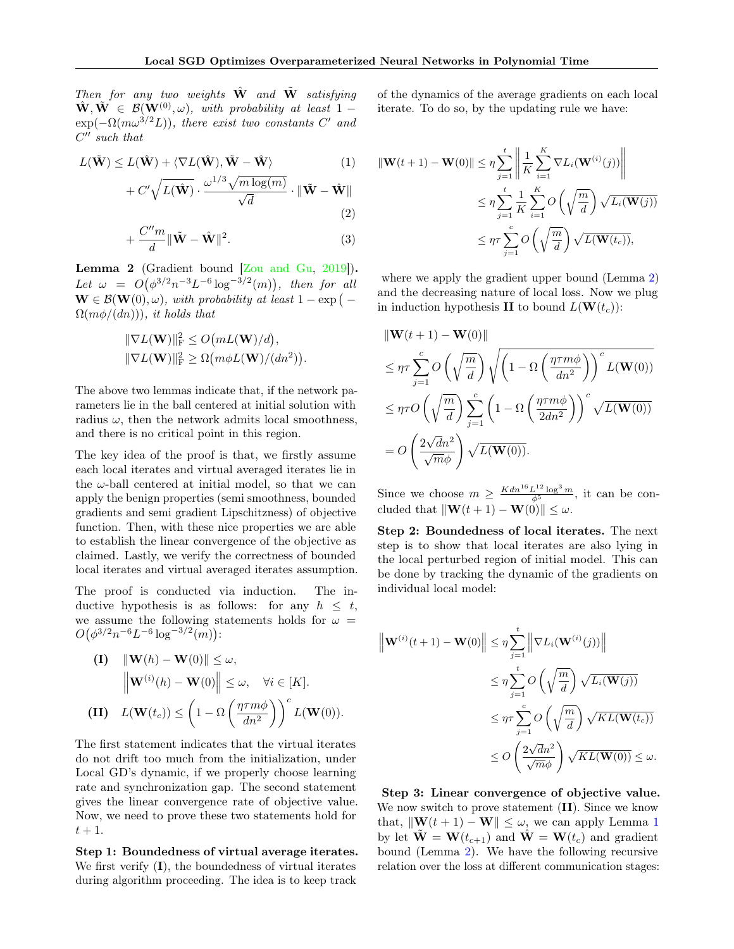Then for any two weights  $\hat{W}$  and  $\tilde{W}$  satisfying  $\hat{\mathbf{W}}, \tilde{\mathbf{W}} \in \mathcal{B}(\mathbf{W}^{(0)}, \omega)$ , with probability at least 1 –  $\exp(-\Omega(m\omega^{3/2}L))$ , there exist two constants C' and  $C''$  such that

$$
L(\tilde{\mathbf{W}}) \le L(\hat{\mathbf{W}}) + \langle \nabla L(\hat{\mathbf{W}}), \tilde{\mathbf{W}} - \hat{\mathbf{W}} \rangle
$$
 (1)

$$
~+ C' \sqrt{L(\hat{\mathbf{W}})} \cdot \frac{\omega^{1/3} \sqrt{m \log(m)}}{\sqrt{d}} \cdot \lVert \tilde{\mathbf{W}} - \hat{\mathbf{W}} \rVert
$$

$$
+\frac{C''m}{d}\|\tilde{\mathbf{W}}-\hat{\mathbf{W}}\|^2.
$$
\n(2)

<span id="page-5-0"></span>Lemma 2 (Gradient bound [\[Zou and Gu,](#page-9-5) [2019\]](#page-9-5)). Let  $\omega = O(\phi^{3/2} n^{-3} L^{-6} \log^{-3/2}(m))$ , then for all  $\mathbf{W} \in \mathcal{B}(\mathbf{W}(0), \omega)$ , with probability at least  $1 - \exp(-\omega)$  $\Omega(m\phi/(dn)))$ , it holds that

$$
\|\nabla L(\mathbf{W})\|_{\mathrm{F}}^2 \le O\big(mL(\mathbf{W})/d\big),
$$
  

$$
\|\nabla L(\mathbf{W})\|_{\mathrm{F}}^2 \ge \Omega\big(m\phi L(\mathbf{W})/(dn^2)\big).
$$

The above two lemmas indicate that, if the network parameters lie in the ball centered at initial solution with radius  $\omega$ , then the network admits local smoothness, and there is no critical point in this region.

The key idea of the proof is that, we firstly assume each local iterates and virtual averaged iterates lie in the  $\omega$ -ball centered at initial model, so that we can apply the benign properties (semi smoothness, bounded gradients and semi gradient Lipschitzness) of objective function. Then, with these nice properties we are able to establish the linear convergence of the objective as claimed. Lastly, we verify the correctness of bounded local iterates and virtual averaged iterates assumption.

The proof is conducted via induction. The inductive hypothesis is as follows: for any  $h \leq t$ , we assume the following statements holds for  $\omega =$  $O(\phi^{3/2}n^{-6}L^{-6}\log^{-3/2}(m))$ :

(I) 
$$
\|\mathbf{W}(h) - \mathbf{W}(0)\| \le \omega
$$
,  
\n $\|\mathbf{W}^{(i)}(h) - \mathbf{W}(0)\| \le \omega, \quad \forall i \in [K].$   
\n(II)  $L(\mathbf{W}(t_c)) \le \left(1 - \Omega\left(\frac{\eta \tau m \phi}{dn^2}\right)\right)^c L(\mathbf{W}(0)).$ 

The first statement indicates that the virtual iterates do not drift too much from the initialization, under Local GD's dynamic, if we properly choose learning rate and synchronization gap. The second statement gives the linear convergence rate of objective value. Now, we need to prove these two statements hold for  $t+1$ .

Step 1: Boundedness of virtual average iterates. We first verify (I), the boundedness of virtual iterates during algorithm proceeding. The idea is to keep track

of the dynamics of the average gradients on each local iterate. To do so, by the updating rule we have:

$$
\|\mathbf{W}(t+1) - \mathbf{W}(0)\| \leq \eta \sum_{j=1}^{t} \left\| \frac{1}{K} \sum_{i=1}^{K} \nabla L_i(\mathbf{W}^{(i)}(j)) \right\|
$$
  

$$
\leq \eta \sum_{j=1}^{t} \frac{1}{K} \sum_{i=1}^{K} O\left(\sqrt{\frac{m}{d}}\right) \sqrt{L_i(\mathbf{W}(j))}
$$
  

$$
\leq \eta \tau \sum_{j=1}^{c} O\left(\sqrt{\frac{m}{d}}\right) \sqrt{L(\mathbf{W}(t_c))},
$$

where we apply the gradient upper bound (Lemma [2\)](#page-5-0) and the decreasing nature of local loss. Now we plug in induction hypothesis **II** to bound  $L(\mathbf{W}(t_c))$ :

$$
\|\mathbf{W}(t+1) - \mathbf{W}(0)\|
$$
  
\n
$$
\leq \eta \tau \sum_{j=1}^{c} O\left(\sqrt{\frac{m}{d}}\right) \sqrt{\left(1 - \Omega\left(\frac{\eta \tau m \phi}{dn^2}\right)\right)^c L(\mathbf{W}(0))}
$$
  
\n
$$
\leq \eta \tau O\left(\sqrt{\frac{m}{d}}\right) \sum_{j=1}^{c} \left(1 - \Omega\left(\frac{\eta \tau m \phi}{2dn^2}\right)\right)^c \sqrt{L(\mathbf{W}(0))}
$$
  
\n
$$
= O\left(\frac{2\sqrt{d}n^2}{\sqrt{m}\phi}\right) \sqrt{L(\mathbf{W}(0))}.
$$

Since we choose  $m \geq \frac{Kdn^{16}L^{12}\log^3 m}{\phi^5}$ , it can be concluded that  $\|\mathbf{W}(t + 1) - \mathbf{W}(0)\| \leq \omega$ .

Step 2: Boundedness of local iterates. The next step is to show that local iterates are also lying in the local perturbed region of initial model. This can be done by tracking the dynamic of the gradients on individual local model:

$$
\left\| \mathbf{W}^{(i)}(t+1) - \mathbf{W}(0) \right\| \leq \eta \sum_{j=1}^{t} \left\| \nabla L_i(\mathbf{W}^{(i)}(j)) \right\|
$$
  

$$
\leq \eta \sum_{j=1}^{t} O\left(\sqrt{\frac{m}{d}}\right) \sqrt{L_i(\mathbf{W}(j))}
$$
  

$$
\leq \eta \tau \sum_{j=1}^{c} O\left(\sqrt{\frac{m}{d}}\right) \sqrt{KL(\mathbf{W}(t_c))}
$$
  

$$
\leq O\left(\frac{2\sqrt{dn^2}}{\sqrt{m}\phi}\right) \sqrt{KL(\mathbf{W}(0))} \leq \omega.
$$

Step 3: Linear convergence of objective value. We now switch to prove statement  $(II)$ . Since we know that,  $\|\mathbf{W}(t + 1) - \mathbf{W}\| \leq \omega$  $\|\mathbf{W}(t + 1) - \mathbf{W}\| \leq \omega$  $\|\mathbf{W}(t + 1) - \mathbf{W}\| \leq \omega$ , we can apply Lemma 1 by let  $\tilde{\mathbf{W}} = \mathbf{W}(t_{c+1})$  and  $\hat{\mathbf{W}} = \mathbf{W}(t_c)$  and gradient bound (Lemma [2\)](#page-5-0). We have the following recursive relation over the loss at different communication stages: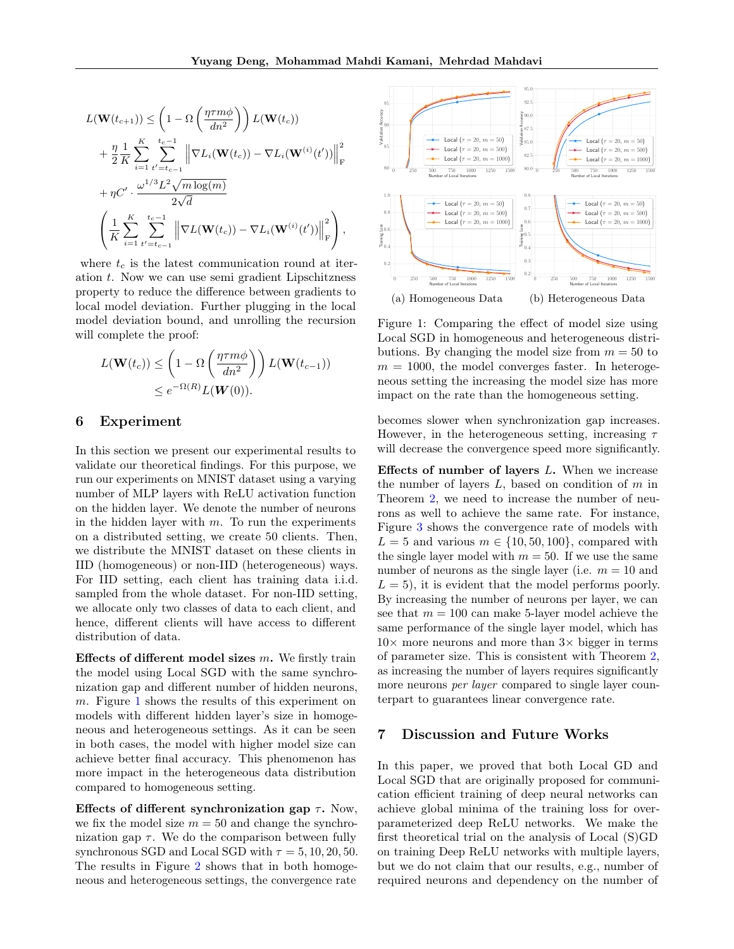$$
L(\mathbf{W}(t_{c+1})) \leq \left(1 - \Omega\left(\frac{\eta \tau m \phi}{dn^2}\right)\right) L(\mathbf{W}(t_c)) + \frac{\eta}{2} \frac{1}{K} \sum_{i=1}^K \sum_{t'=t_{c-1}}^{t_c-1} \left\|\nabla L_i(\mathbf{W}(t_c)) - \nabla L_i(\mathbf{W}^{(i)}(t'))\right\|_{\mathrm{F}}^2 + \eta C' \cdot \frac{\omega^{1/3} L^2 \sqrt{m \log(m)}}{2\sqrt{d}} + \left(\frac{1}{K} \sum_{i=1}^K \sum_{t'=t_{c-1}}^{t_c-1} \left\|\nabla L(\mathbf{W}(t_c)) - \nabla L_i(\mathbf{W}^{(i)}(t'))\right\|_{\mathrm{F}}^2\right),
$$

where  $t_c$  is the latest communication round at iteration  $t$ . Now we can use semi gradient Lipschitzness property to reduce the difference between gradients to local model deviation. Further plugging in the local model deviation bound, and unrolling the recursion will complete the proof:

$$
L(\mathbf{W}(t_c)) \le \left(1 - \Omega\left(\frac{\eta \tau m \phi}{dn^2}\right)\right) L(\mathbf{W}(t_{c-1}))
$$
  

$$
\le e^{-\Omega(R)} L(\mathbf{W}(0)).
$$

### 6 Experiment

In this section we present our experimental results to validate our theoretical findings. For this purpose, we run our experiments on MNIST dataset using a varying number of MLP layers with ReLU activation function on the hidden layer. We denote the number of neurons in the hidden layer with  $m$ . To run the experiments on a distributed setting, we create 50 clients. Then, we distribute the MNIST dataset on these clients in IID (homogeneous) or non-IID (heterogeneous) ways. For IID setting, each client has training data i.i.d. sampled from the whole dataset. For non-IID setting, we allocate only two classes of data to each client, and hence, different clients will have access to different distribution of data.  $+ \eta C \cdot \frac{\omega^{1/2} L^2 \sqrt{m \log(m)}}{2\sqrt{2}} \left\{ \frac{1}{K} \sum_{k=1}^{K} \sum_{k=1}^{N} \sum_{k=1}^{N} \left[ \nabla L(\mathbf{W}(k)) - \nabla L(\mathbf{W}^{(0)}(t)) \right]_{k}^{2} \right\} + \frac{1}{K} \sum_{k=1}^{N} \sum_{k=1}^{N} \sum_{k=1}^{N} \sum_{k=1}^{N} \sum_{k=1}^{N} \sum_{k=1}^{N} \sum_{k=1}^{N} \sum_{k=1}^{N} \sum_{k=1}^{N}$ 

Effects of different model sizes  $m$ . We firstly train the model using Local SGD with the same synchronization gap and different number of hidden neurons, m. Figure [1](#page-6-0) shows the results of this experiment on models with different hidden layer's size in homogeneous and heterogeneous settings. As it can be seen in both cases, the model with higher model size can achieve better final accuracy. This phenomenon has more impact in the heterogeneous data distribution compared to homogeneous setting.

Effects of different synchronization gap  $\tau$ . Now, we fix the model size  $m = 50$  and change the synchronization gap  $\tau$ . We do the comparison between fully synchronous SGD and Local SGD with  $\tau = 5, 10, 20, 50$ . The results in Figure [2](#page-7-0) shows that in both homoge-

<span id="page-6-0"></span>

Figure 1: Comparing the effect of model size using Local SGD in homogeneous and heterogeneous distributions. By changing the model size from  $m = 50$  to  $m = 1000$ , the model converges faster. In heterogeneous setting the increasing the model size has more impact on the rate than the homogeneous setting.

becomes slower when synchronization gap increases. However, in the heterogeneous setting, increasing  $\tau$ will decrease the convergence speed more significantly.

Effects of number of layers L. When we increase the number of layers  $L$ , based on condition of  $m$  in Theorem [2,](#page-3-2) we need to increase the number of neurons as well to achieve the same rate. For instance, Figure [3](#page-7-1) shows the convergence rate of models with  $L = 5$  and various  $m \in \{10, 50, 100\}$ , compared with the single layer model with  $m = 50$ . If we use the same number of neurons as the single layer (i.e.  $m = 10$  and  $L = 5$ , it is evident that the model performs poorly. By increasing the number of neurons per layer, we can see that  $m = 100$  can make 5-layer model achieve the same performance of the single layer model, which has  $10\times$  more neurons and more than  $3\times$  bigger in terms of parameter size. This is consistent with Theorem [2,](#page-3-2) as increasing the number of layers requires significantly more neurons *per layer* compared to single layer counterpart to guarantees linear convergence rate.

### 7 Discussion and Future Works

In this paper, we proved that both Local GD and Local SGD that are originally proposed for communication efficient training of deep neural networks can achieve global minima of the training loss for overparameterized deep ReLU networks. We make the first theoretical trial on the analysis of Local (S)GD on training Deep ReLU networks with multiple layers, but we do not claim that our results, e.g., number of required neurons and dependency on the number of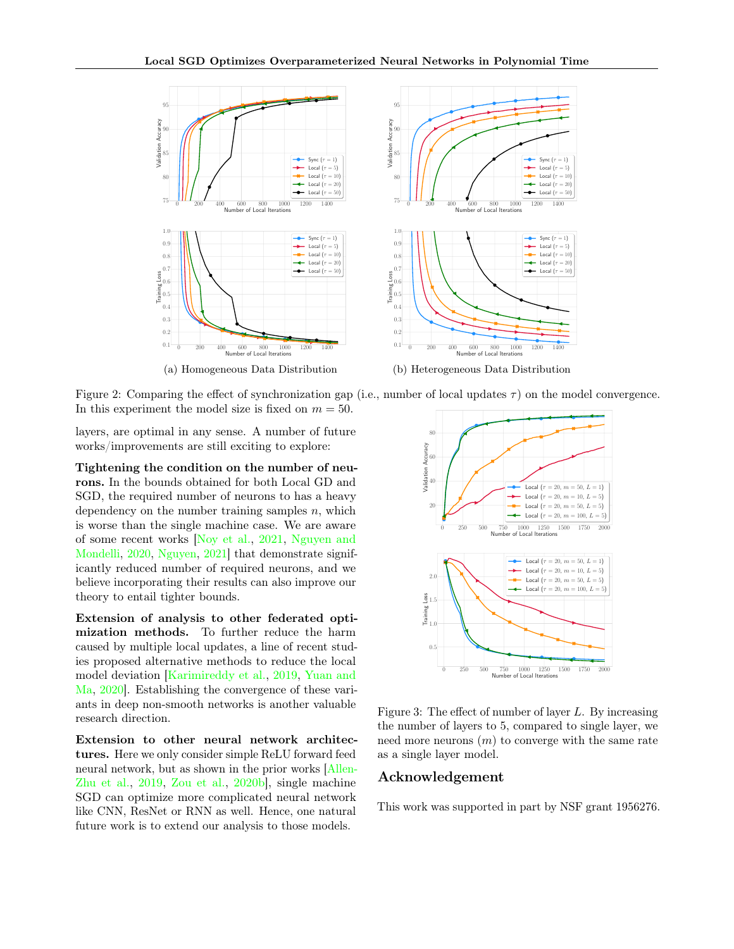<span id="page-7-0"></span>

(a) Homogeneous Data Distribution



layers, are optimal in any sense. A number of future works/improvements are still exciting to explore:

Tightening the condition on the number of neurons. In the bounds obtained for both Local GD and SGD, the required number of neurons to has a heavy dependency on the number training samples  $n$ , which is worse than the single machine case. We are aware of some recent works [\[Noy et al.,](#page-9-12) [2021,](#page-9-12) [Nguyen and](#page-9-13) [Mondelli,](#page-9-13) [2020,](#page-9-13) [Nguyen,](#page-9-14) [2021\]](#page-9-14) that demonstrate significantly reduced number of required neurons, and we believe incorporating their results can also improve our theory to entail tighter bounds.

Extension of analysis to other federated optimization methods. To further reduce the harm caused by multiple local updates, a line of recent studies proposed alternative methods to reduce the local model deviation [\[Karimireddy et al.,](#page-8-15) [2019,](#page-8-15) [Yuan and](#page-9-8) [Ma,](#page-9-8) [2020\]](#page-9-8). Establishing the convergence of these variants in deep non-smooth networks is another valuable research direction.

Extension to other neural network architectures. Here we only consider simple ReLU forward feed neural network, but as shown in the prior works [\[Allen-](#page-8-13)[Zhu et al.,](#page-8-13) [2019,](#page-8-13) [Zou et al.,](#page-9-15) [2020b\]](#page-9-15), single machine SGD can optimize more complicated neural network like CNN, ResNet or RNN as well. Hence, one natural future work is to extend our analysis to those models.



(b) Heterogeneous Data Distribution



<span id="page-7-1"></span>

Figure 3: The effect of number of layer L. By increasing the number of layers to 5, compared to single layer, we need more neurons  $(m)$  to converge with the same rate as a single layer model.

### Acknowledgement

This work was supported in part by NSF grant 1956276.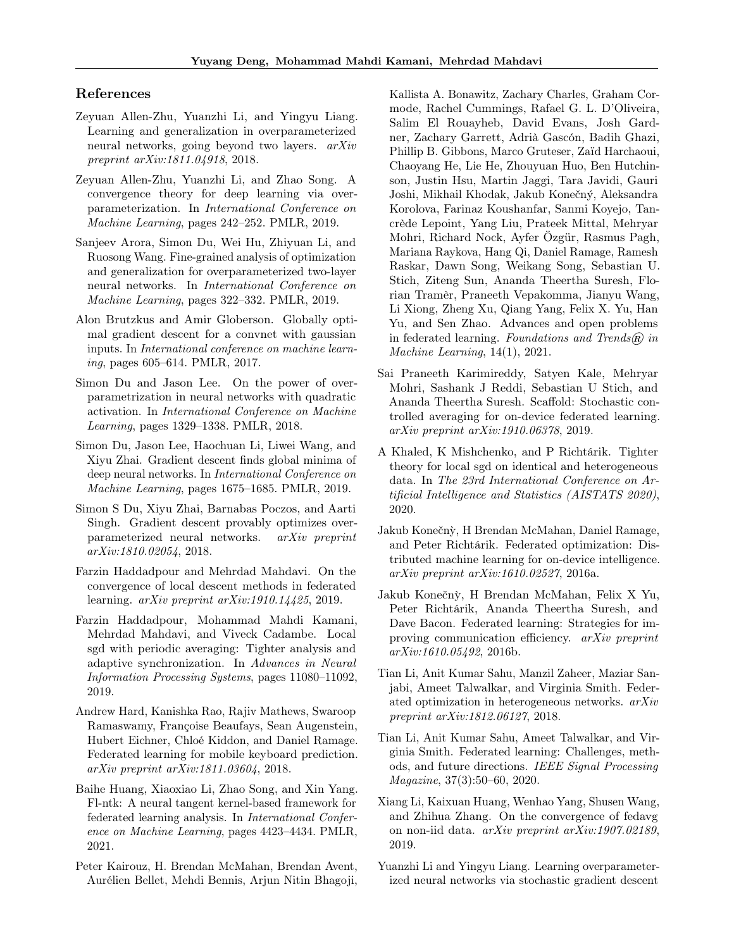### References

- <span id="page-8-12"></span>Zeyuan Allen-Zhu, Yuanzhi Li, and Yingyu Liang. Learning and generalization in overparameterized neural networks, going beyond two layers. arXiv preprint arXiv:1811.04918, 2018.
- <span id="page-8-13"></span>Zeyuan Allen-Zhu, Yuanzhi Li, and Zhao Song. A convergence theory for deep learning via overparameterization. In International Conference on Machine Learning, pages 242–252. PMLR, 2019.
- <span id="page-8-14"></span>Sanjeev Arora, Simon Du, Wei Hu, Zhiyuan Li, and Ruosong Wang. Fine-grained analysis of optimization and generalization for overparameterized two-layer neural networks. In International Conference on Machine Learning, pages 322–332. PMLR, 2019.
- <span id="page-8-17"></span>Alon Brutzkus and Amir Globerson. Globally optimal gradient descent for a convnet with gaussian inputs. In International conference on machine learning, pages 605–614. PMLR, 2017.
- <span id="page-8-16"></span>Simon Du and Jason Lee. On the power of overparametrization in neural networks with quadratic activation. In International Conference on Machine Learning, pages 1329–1338. PMLR, 2018.
- <span id="page-8-11"></span>Simon Du, Jason Lee, Haochuan Li, Liwei Wang, and Xiyu Zhai. Gradient descent finds global minima of deep neural networks. In International Conference on Machine Learning, pages 1675–1685. PMLR, 2019.
- <span id="page-8-10"></span>Simon S Du, Xiyu Zhai, Barnabas Poczos, and Aarti Singh. Gradient descent provably optimizes overparameterized neural networks. arXiv preprint arXiv:1810.02054, 2018.
- <span id="page-8-5"></span>Farzin Haddadpour and Mehrdad Mahdavi. On the convergence of local descent methods in federated learning.  $arXiv$  preprint  $arXiv:1910.14425$ , 2019.
- <span id="page-8-6"></span>Farzin Haddadpour, Mohammad Mahdi Kamani, Mehrdad Mahdavi, and Viveck Cadambe. Local sgd with periodic averaging: Tighter analysis and adaptive synchronization. In Advances in Neural Information Processing Systems, pages 11080–11092, 2019.
- <span id="page-8-9"></span>Andrew Hard, Kanishka Rao, Rajiv Mathews, Swaroop Ramaswamy, Françoise Beaufays, Sean Augenstein, Hubert Eichner, Chloé Kiddon, and Daniel Ramage. Federated learning for mobile keyboard prediction. arXiv preprint arXiv:1811.03604, 2018.
- <span id="page-8-19"></span>Baihe Huang, Xiaoxiao Li, Zhao Song, and Xin Yang. Fl-ntk: A neural tangent kernel-based framework for federated learning analysis. In International Conference on Machine Learning, pages 4423–4434. PMLR, 2021.
- <span id="page-8-3"></span>Peter Kairouz, H. Brendan McMahan, Brendan Avent, Aurélien Bellet, Mehdi Bennis, Arjun Nitin Bhagoji,

Kallista A. Bonawitz, Zachary Charles, Graham Cormode, Rachel Cummings, Rafael G. L. D'Oliveira, Salim El Rouayheb, David Evans, Josh Gardner, Zachary Garrett, Adrià Gascón, Badih Ghazi, Phillip B. Gibbons, Marco Gruteser, Zaïd Harchaoui, Chaoyang He, Lie He, Zhouyuan Huo, Ben Hutchinson, Justin Hsu, Martin Jaggi, Tara Javidi, Gauri Joshi, Mikhail Khodak, Jakub Konečný, Aleksandra Korolova, Farinaz Koushanfar, Sanmi Koyejo, Tancrède Lepoint, Yang Liu, Prateek Mittal, Mehryar Mohri, Richard Nock, Ayfer Özgür, Rasmus Pagh, Mariana Raykova, Hang Qi, Daniel Ramage, Ramesh Raskar, Dawn Song, Weikang Song, Sebastian U. Stich, Ziteng Sun, Ananda Theertha Suresh, Florian Tramèr, Praneeth Vepakomma, Jianyu Wang, Li Xiong, Zheng Xu, Qiang Yang, Felix X. Yu, Han Yu, and Sen Zhao. Advances and open problems in federated learning. Foundations and Trends $\widehat{R}$  in Machine Learning, 14(1), 2021.

- <span id="page-8-15"></span>Sai Praneeth Karimireddy, Satyen Kale, Mehryar Mohri, Sashank J Reddi, Sebastian U Stich, and Ananda Theertha Suresh. Scaffold: Stochastic controlled averaging for on-device federated learning. arXiv preprint arXiv:1910.06378, 2019.
- <span id="page-8-4"></span>A Khaled, K Mishchenko, and P Richtárik. Tighter theory for local sgd on identical and heterogeneous data. In The 23rd International Conference on Artificial Intelligence and Statistics (AISTATS 2020), 2020.
- <span id="page-8-0"></span>Jakub Konečn`y, H Brendan McMahan, Daniel Ramage, and Peter Richtárik. Federated optimization: Distributed machine learning for on-device intelligence. arXiv preprint arXiv:1610.02527, 2016a.
- <span id="page-8-1"></span>Jakub Konečn`y, H Brendan McMahan, Felix X Yu, Peter Richtárik, Ananda Theertha Suresh, and Dave Bacon. Federated learning: Strategies for improving communication efficiency. arXiv preprint arXiv:1610.05492, 2016b.
- <span id="page-8-8"></span>Tian Li, Anit Kumar Sahu, Manzil Zaheer, Maziar Sanjabi, Ameet Talwalkar, and Virginia Smith. Federated optimization in heterogeneous networks. arXiv preprint arXiv:1812.06127, 2018.
- <span id="page-8-2"></span>Tian Li, Anit Kumar Sahu, Ameet Talwalkar, and Virginia Smith. Federated learning: Challenges, methods, and future directions. IEEE Signal Processing Magazine, 37(3):50–60, 2020.
- <span id="page-8-7"></span>Xiang Li, Kaixuan Huang, Wenhao Yang, Shusen Wang, and Zhihua Zhang. On the convergence of fedavg on non-iid data. arXiv preprint arXiv:1907.02189, 2019.
- <span id="page-8-18"></span>Yuanzhi Li and Yingyu Liang. Learning overparameterized neural networks via stochastic gradient descent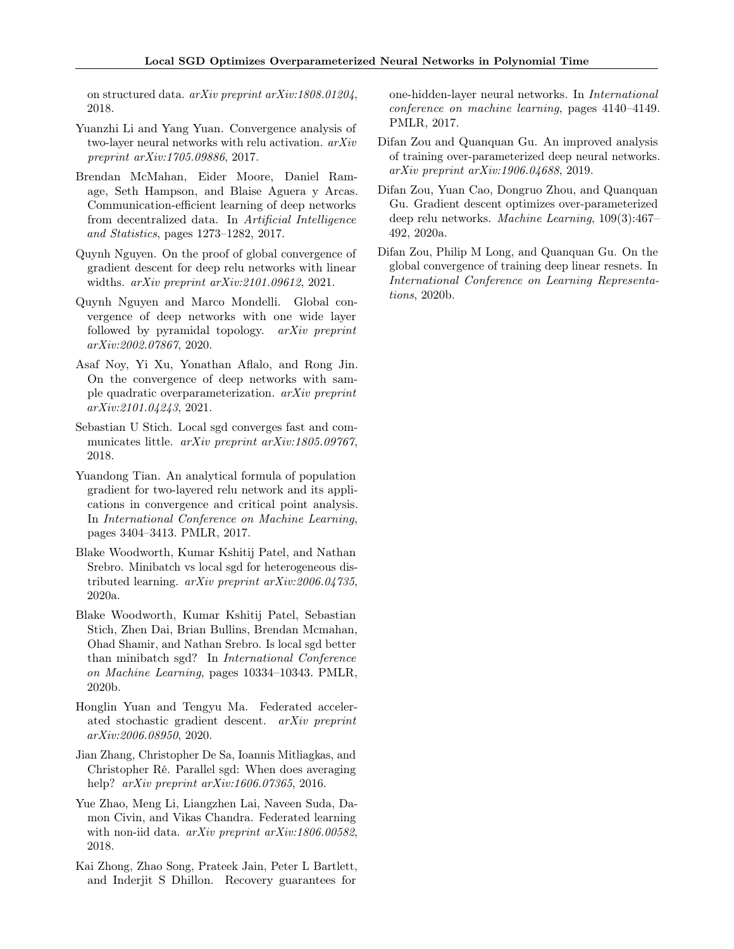on structured data. arXiv preprint arXiv:1808.01204, 2018.

- <span id="page-9-10"></span>Yuanzhi Li and Yang Yuan. Convergence analysis of two-layer neural networks with relu activation. arXiv preprint arXiv:1705.09886, 2017.
- <span id="page-9-0"></span>Brendan McMahan, Eider Moore, Daniel Ramage, Seth Hampson, and Blaise Aguera y Arcas. Communication-efficient learning of deep networks from decentralized data. In Artificial Intelligence and Statistics, pages 1273–1282, 2017.
- <span id="page-9-14"></span>Quynh Nguyen. On the proof of global convergence of gradient descent for deep relu networks with linear widths. arXiv preprint arXiv:2101.09612, 2021.
- <span id="page-9-13"></span>Quynh Nguyen and Marco Mondelli. Global convergence of deep networks with one wide layer followed by pyramidal topology. arXiv preprint arXiv:2002.07867, 2020.
- <span id="page-9-12"></span>Asaf Noy, Yi Xu, Yonathan Aflalo, and Rong Jin. On the convergence of deep networks with sample quadratic overparameterization. arXiv preprint arXiv:2101.04243, 2021.
- <span id="page-9-1"></span>Sebastian U Stich. Local sgd converges fast and communicates little. *arXiv preprint arXiv:1805.09767*, 2018.
- <span id="page-9-9"></span>Yuandong Tian. An analytical formula of population gradient for two-layered relu network and its applications in convergence and critical point analysis. In International Conference on Machine Learning, pages 3404–3413. PMLR, 2017.
- <span id="page-9-3"></span>Blake Woodworth, Kumar Kshitij Patel, and Nathan Srebro. Minibatch vs local sgd for heterogeneous distributed learning. arXiv preprint arXiv:2006.04735, 2020a.
- <span id="page-9-2"></span>Blake Woodworth, Kumar Kshitij Patel, Sebastian Stich, Zhen Dai, Brian Bullins, Brendan Mcmahan, Ohad Shamir, and Nathan Srebro. Is local sgd better than minibatch sgd? In International Conference on Machine Learning, pages 10334–10343. PMLR, 2020b.
- <span id="page-9-8"></span>Honglin Yuan and Tengyu Ma. Federated accelerated stochastic gradient descent. arXiv preprint arXiv:2006.08950, 2020.
- <span id="page-9-7"></span>Jian Zhang, Christopher De Sa, Ioannis Mitliagkas, and Christopher Ré. Parallel sgd: When does averaging help? *arXiv preprint arXiv:1606.07365*, 2016.
- <span id="page-9-4"></span>Yue Zhao, Meng Li, Liangzhen Lai, Naveen Suda, Damon Civin, and Vikas Chandra. Federated learning with non-iid data. *arXiv preprint arXiv:1806.00582*, 2018.
- <span id="page-9-11"></span>Kai Zhong, Zhao Song, Prateek Jain, Peter L Bartlett, and Inderjit S Dhillon. Recovery guarantees for

one-hidden-layer neural networks. In International conference on machine learning, pages 4140–4149. PMLR, 2017.

- <span id="page-9-5"></span>Difan Zou and Quanquan Gu. An improved analysis of training over-parameterized deep neural networks. arXiv preprint arXiv:1906.04688, 2019.
- <span id="page-9-6"></span>Difan Zou, Yuan Cao, Dongruo Zhou, and Quanquan Gu. Gradient descent optimizes over-parameterized deep relu networks. Machine Learning, 109(3):467– 492, 2020a.
- <span id="page-9-15"></span>Difan Zou, Philip M Long, and Quanquan Gu. On the global convergence of training deep linear resnets. In International Conference on Learning Representations, 2020b.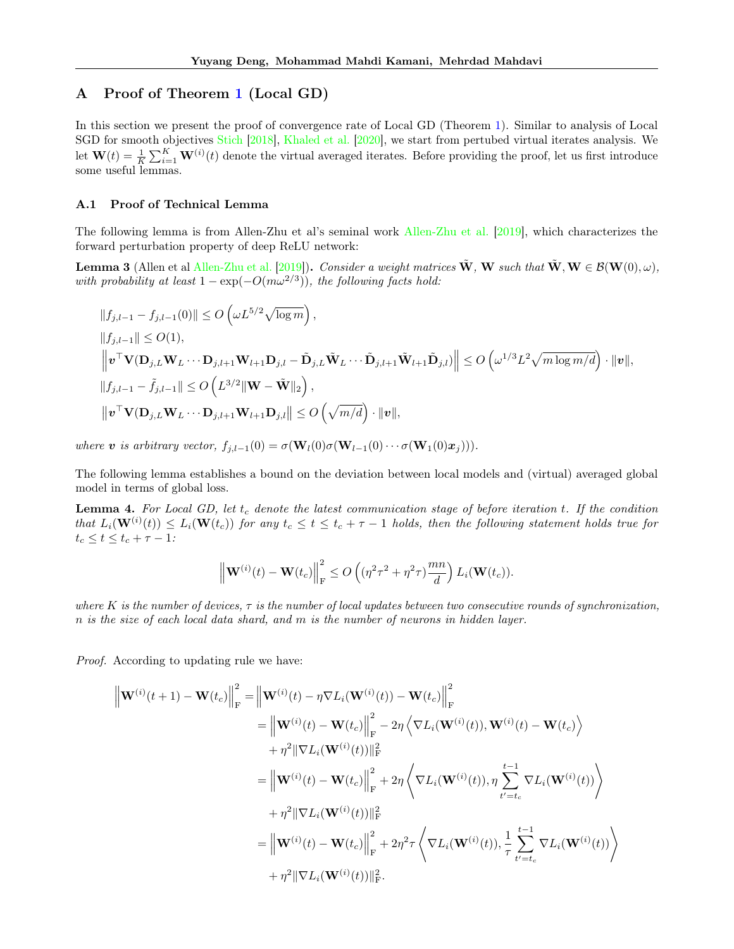## <span id="page-10-0"></span>A Proof of Theorem [1](#page-3-1) (Local GD)

In this section we present the proof of convergence rate of Local GD (Theorem [1\)](#page-3-1). Similar to analysis of Local SGD for smooth objectives [Stich](#page-9-1) [\[2018\]](#page-9-1), [Khaled et al.](#page-8-4) [\[2020\]](#page-8-4), we start from pertubed virtual iterates analysis. We let  $\mathbf{W}(t) = \frac{1}{K} \sum_{i=1}^{K} \mathbf{W}^{(i)}(t)$  denote the virtual averaged iterates. Before providing the proof, let us first introduce some useful lemmas.

#### A.1 Proof of Technical Lemma

The following lemma is from Allen-Zhu et al's seminal work [Allen-Zhu et al.](#page-8-13) [\[2019\]](#page-8-13), which characterizes the forward perturbation property of deep ReLU network:

<span id="page-10-1"></span>**Lemma 3** (Allen et al [Allen-Zhu et al.](#page-8-13) [\[2019\]](#page-8-13)). Consider a weight matrices  $\tilde{\mathbf{W}}$ , W such that  $\tilde{\mathbf{W}}$ ,  $\mathbf{W} \in \mathcal{B}(\mathbf{W}(0), \omega)$ , with probability at least  $1 - \exp(-O(m\omega^{2/3}))$ , the following facts hold:

$$
\begin{aligned}\n||f_{j,l-1} - f_{j,l-1}(0)|| &\le O\left(\omega L^{5/2} \sqrt{\log m}\right), \\
||f_{j,l-1}|| &\le O(1), \\
\left\|\mathbf{v}^\top \mathbf{V}(\mathbf{D}_{j,L} \mathbf{W}_L \cdots \mathbf{D}_{j,l+1} \mathbf{W}_{l+1} \mathbf{D}_{j,l} - \tilde{\mathbf{D}}_{j,L} \tilde{\mathbf{W}}_L \cdots \tilde{\mathbf{D}}_{j,l+1} \tilde{\mathbf{W}}_{l+1} \tilde{\mathbf{D}}_{j,l})\right\| \le O\left(\omega^{1/3} L^2 \sqrt{m \log m/d}\right) \cdot \|\mathbf{v}\|, \\
||f_{j,l-1} - \tilde{f}_{j,l-1}|| \le O\left(L^{3/2} \|\mathbf{W} - \tilde{\mathbf{W}}\|_2\right), \\
\|\mathbf{v}^\top \mathbf{V}(\mathbf{D}_{j,L} \mathbf{W}_L \cdots \mathbf{D}_{j,l+1} \mathbf{W}_{l+1} \mathbf{D}_{j,l}\| \le O\left(\sqrt{m/d}\right) \cdot \|\mathbf{v}\|,\n\end{aligned}
$$

where **v** is arbitrary vector,  $f_{j,l-1}(0) = \sigma(\mathbf{W}_l(0)\sigma(\mathbf{W}_{l-1}(0)\cdots\sigma(\mathbf{W}_1(0)\mathbf{x}_j))).$ 

The following lemma establishes a bound on the deviation between local models and (virtual) averaged global model in terms of global loss.

<span id="page-10-2"></span>**Lemma 4.** For Local GD, let  $t_c$  denote the latest communication stage of before iteration  $t$ . If the condition that  $L_i(\mathbf{W}^{(i)}(t)) \leq L_i(\mathbf{W}(t_c))$  for any  $t_c \leq t \leq t_c + \tau - 1$  holds, then the following statement holds true for  $t_c \leq t \leq t_c + \tau - 1$  :

$$
\left\|\mathbf{W}^{(i)}(t)-\mathbf{W}(t_c)\right\|_{\mathrm{F}}^2 \leq O\left((\eta^2\tau^2+\eta^2\tau)\frac{mn}{d}\right)L_i(\mathbf{W}(t_c)).
$$

where K is the number of devices,  $\tau$  is the number of local updates between two consecutive rounds of synchronization, n is the size of each local data shard, and m is the number of neurons in hidden layer.

Proof. According to updating rule we have:

$$
\begin{split}\n\left\|\mathbf{W}^{(i)}(t+1) - \mathbf{W}(t_c)\right\|_{\mathrm{F}}^2 &= \left\|\mathbf{W}^{(i)}(t) - \eta \nabla L_i(\mathbf{W}^{(i)}(t)) - \mathbf{W}(t_c)\right\|_{\mathrm{F}}^2 \\
&= \left\|\mathbf{W}^{(i)}(t) - \mathbf{W}(t_c)\right\|_{\mathrm{F}}^2 - 2\eta \left\langle \nabla L_i(\mathbf{W}^{(i)}(t)), \mathbf{W}^{(i)}(t) - \mathbf{W}(t_c) \right\rangle \\
&\quad + \eta^2 \|\nabla L_i(\mathbf{W}^{(i)}(t))\|_{\mathrm{F}}^2 \\
&= \left\|\mathbf{W}^{(i)}(t) - \mathbf{W}(t_c)\right\|_{\mathrm{F}}^2 + 2\eta \left\langle \nabla L_i(\mathbf{W}^{(i)}(t)), \eta \sum_{t'=t_c}^{t-1} \nabla L_i(\mathbf{W}^{(i)}(t)) \right\rangle \\
&\quad + \eta^2 \|\nabla L_i(\mathbf{W}^{(i)}(t))\|_{\mathrm{F}}^2 \\
&= \left\|\mathbf{W}^{(i)}(t) - \mathbf{W}(t_c)\right\|_{\mathrm{F}}^2 + 2\eta^2 \tau \left\langle \nabla L_i(\mathbf{W}^{(i)}(t)), \frac{1}{\tau} \sum_{t'=t_c}^{t-1} \nabla L_i(\mathbf{W}^{(i)}(t)) \right\rangle \\
&\quad + \eta^2 \|\nabla L_i(\mathbf{W}^{(i)}(t))\|_{\mathrm{F}}^2.\n\end{split}
$$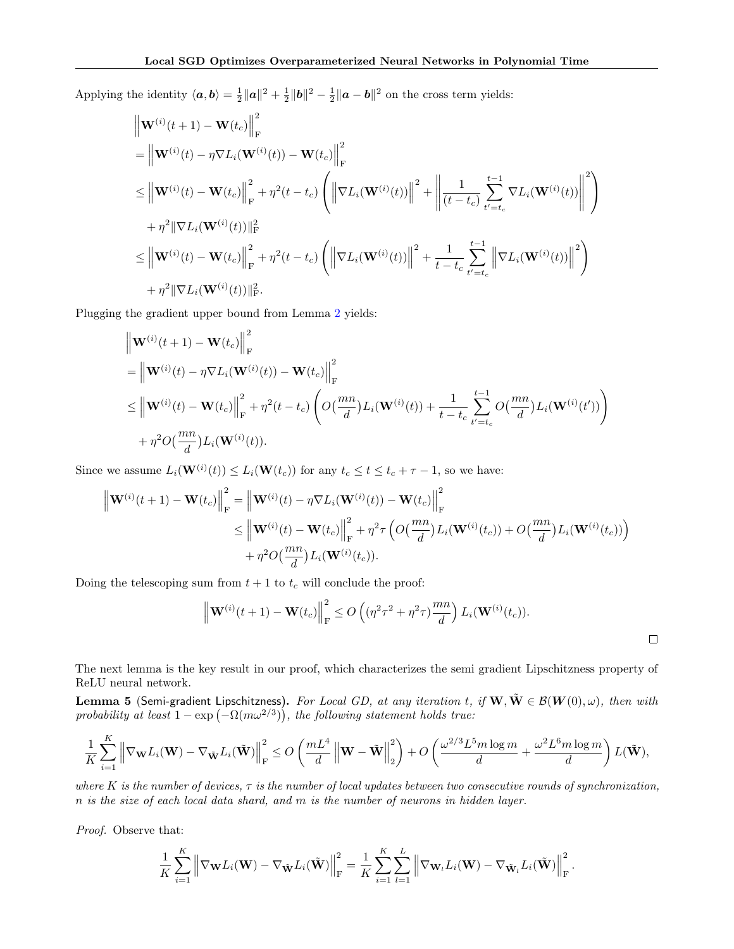Applying the identity  $\langle a, b \rangle = \frac{1}{2} ||a||^2 + \frac{1}{2} ||b||^2 - \frac{1}{2} ||a - b||^2$  on the cross term yields:

$$
\| \mathbf{W}^{(i)}(t+1) - \mathbf{W}(t_c) \|^2_{\mathbf{F}} \n= \left\| \mathbf{W}^{(i)}(t) - \eta \nabla L_i(\mathbf{W}^{(i)}(t)) - \mathbf{W}(t_c) \right\|_{\mathbf{F}}^2 \n\leq \left\| \mathbf{W}^{(i)}(t) - \mathbf{W}(t_c) \right\|_{\mathbf{F}}^2 + \eta^2(t - t_c) \left( \left\| \nabla L_i(\mathbf{W}^{(i)}(t)) \right\|^2 + \left\| \frac{1}{(t - t_c)} \sum_{t'=t_c}^{t-1} \nabla L_i(\mathbf{W}^{(i)}(t)) \right\|^2 \right) \n+ \eta^2 \|\nabla L_i(\mathbf{W}^{(i)}(t))\|^2_{\mathbf{F}} \n\leq \left\| \mathbf{W}^{(i)}(t) - \mathbf{W}(t_c) \right\|_{\mathbf{F}}^2 + \eta^2(t - t_c) \left( \left\| \nabla L_i(\mathbf{W}^{(i)}(t)) \right\|^2 + \frac{1}{t - t_c} \sum_{t'=t_c}^{t-1} \left\| \nabla L_i(\mathbf{W}^{(i)}(t)) \right\|^2 \right) \n+ \eta^2 \|\nabla L_i(\mathbf{W}^{(i)}(t))\|^2_{\mathbf{F}}.
$$

Plugging the gradient upper bound from Lemma [2](#page-5-0) yields:

$$
\| \mathbf{W}^{(i)}(t+1) - \mathbf{W}(t_c) \|_{\mathcal{F}}^2
$$
\n
$$
= \left\| \mathbf{W}^{(i)}(t) - \eta \nabla L_i(\mathbf{W}^{(i)}(t)) - \mathbf{W}(t_c) \right\|_{\mathcal{F}}^2
$$
\n
$$
\leq \left\| \mathbf{W}^{(i)}(t) - \mathbf{W}(t_c) \right\|_{\mathcal{F}}^2 + \eta^2 (t - t_c) \left( O\left(\frac{mn}{d}\right) L_i(\mathbf{W}^{(i)}(t)) + \frac{1}{t - t_c} \sum_{t'=t_c}^{t-1} O\left(\frac{mn}{d}\right) L_i(\mathbf{W}^{(i)}(t')) \right)
$$
\n
$$
+ \eta^2 O\left(\frac{mn}{d}\right) L_i(\mathbf{W}^{(i)}(t)).
$$

Since we assume  $L_i(\mathbf{W}^{(i)}(t)) \leq L_i(\mathbf{W}(t_c))$  for any  $t_c \leq t \leq t_c + \tau - 1$ , so we have:

$$
\left\| \mathbf{W}^{(i)}(t+1) - \mathbf{W}(t_c) \right\|_{\mathrm{F}}^2 = \left\| \mathbf{W}^{(i)}(t) - \eta \nabla L_i(\mathbf{W}^{(i)}(t)) - \mathbf{W}(t_c) \right\|_{\mathrm{F}}^2
$$
  
\n
$$
\leq \left\| \mathbf{W}^{(i)}(t) - \mathbf{W}(t_c) \right\|_{\mathrm{F}}^2 + \eta^2 \tau \left( O\left(\frac{mn}{d}\right) L_i(\mathbf{W}^{(i)}(t_c)) + O\left(\frac{mn}{d}\right) L_i(\mathbf{W}^{(i)}(t_c)) \right)
$$
  
\n
$$
+ \eta^2 O\left(\frac{mn}{d}\right) L_i(\mathbf{W}^{(i)}(t_c)).
$$

Doing the telescoping sum from  $t + 1$  to  $t_c$  will conclude the proof:

$$
\left\|\mathbf{W}^{(i)}(t+1) - \mathbf{W}(t_c)\right\|_{\mathrm{F}}^2 \le O\left((\eta^2\tau^2 + \eta^2\tau)\frac{mn}{d}\right) L_i(\mathbf{W}^{(i)}(t_c)).
$$

.

The next lemma is the key result in our proof, which characterizes the semi gradient Lipschitzness property of ReLU neural network.

<span id="page-11-0"></span>Lemma 5 (Semi-gradient Lipschitzness). For Local GD, at any iteration t, if  $W, \tilde{W} \in \mathcal{B}(W(0), \omega)$ , then with probability at least  $1 - \exp(-\Omega(m\omega^{2/3}))$ , the following statement holds true:

$$
\frac{1}{K}\sum_{i=1}^K \left\|\nabla_{\mathbf{W}}L_i(\mathbf{W}) - \nabla_{\tilde{\mathbf{W}}}L_i(\tilde{\mathbf{W}})\right\|_{\mathrm{F}}^2 \leq O\left(\frac{mL^4}{d}\left\|\mathbf{W}-\tilde{\mathbf{W}}\right\|_2^2\right) + O\left(\frac{\omega^{2/3}L^5m\log m}{d} + \frac{\omega^2L^6m\log m}{d}\right)L(\tilde{\mathbf{W}}),
$$

where K is the number of devices,  $\tau$  is the number of local updates between two consecutive rounds of synchronization, n is the size of each local data shard, and m is the number of neurons in hidden layer.

Proof. Observe that:

$$
\frac{1}{K}\sum_{i=1}^K \left\|\nabla_{\mathbf{W}}L_i(\mathbf{W}) - \nabla_{\tilde{\mathbf{W}}}L_i(\tilde{\mathbf{W}})\right\|_{\text{F}}^2 = \frac{1}{K}\sum_{i=1}^K\sum_{l=1}^L \left\|\nabla_{\mathbf{W}_l}L_i(\mathbf{W}) - \nabla_{\tilde{\mathbf{W}}_l}L_i(\tilde{\mathbf{W}})\right\|_{\text{F}}^2
$$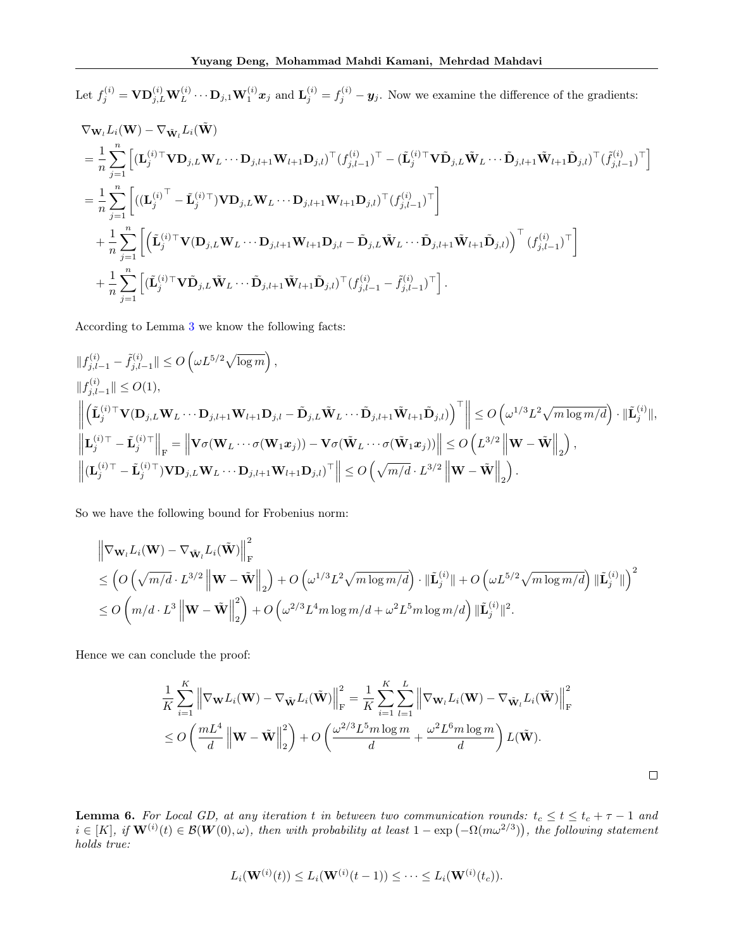Let  $f_j^{(i)} = \mathbf{V} \mathbf{D}_{j,L}^{(i)} \mathbf{W}_L^{(i)} \cdots \mathbf{D}_{j,1} \mathbf{W}_1^{(i)} \mathbf{x}_j$  and  $\mathbf{L}_j^{(i)} = f_j^{(i)} - \mathbf{y}_j$ . Now we examine the difference of the gradients:

$$
\nabla_{\mathbf{W}_{l}}L_{i}(\mathbf{W}) - \nabla_{\tilde{\mathbf{W}}_{l}}L_{i}(\tilde{\mathbf{W}})
$$
\n
$$
= \frac{1}{n} \sum_{j=1}^{n} \left[ (\mathbf{L}_{j}^{(i)\top} \mathbf{V} \mathbf{D}_{j,L} \mathbf{W}_{L} \cdots \mathbf{D}_{j,l+1} \mathbf{W}_{l+1} \mathbf{D}_{j,l})^{\top} (f_{j,l-1}^{(i)})^{\top} - (\tilde{\mathbf{L}}_{j}^{(i)\top} \mathbf{V} \tilde{\mathbf{D}}_{j,L} \tilde{\mathbf{W}}_{L} \cdots \tilde{\mathbf{D}}_{j,l+1} \tilde{\mathbf{W}}_{l+1} \tilde{\mathbf{D}}_{j,l})^{\top} (f_{j,l-1}^{(i)})^{\top} \right]
$$
\n
$$
= \frac{1}{n} \sum_{j=1}^{n} \left[ ((\mathbf{L}_{j}^{(i)\top} - \tilde{\mathbf{L}}_{j}^{(i)\top}) \mathbf{V} \mathbf{D}_{j,L} \mathbf{W}_{L} \cdots \mathbf{D}_{j,l+1} \mathbf{W}_{l+1} \mathbf{D}_{j,l})^{\top} (f_{j,l-1}^{(i)})^{\top} \right]
$$
\n
$$
+ \frac{1}{n} \sum_{j=1}^{n} \left[ \left( \tilde{\mathbf{L}}_{j}^{(i)\top} \mathbf{V} (\mathbf{D}_{j,L} \mathbf{W}_{L} \cdots \mathbf{D}_{j,l+1} \mathbf{W}_{l+1} \mathbf{D}_{j,l} - \tilde{\mathbf{D}}_{j,L} \tilde{\mathbf{W}}_{L} \cdots \tilde{\mathbf{D}}_{j,l+1} \tilde{\mathbf{W}}_{l+1} \tilde{\mathbf{D}}_{j,l}) \right)^{\top} (f_{j,l-1}^{(i)})^{\top} \right]
$$
\n
$$
+ \frac{1}{n} \sum_{j=1}^{n} \left[ (\tilde{\mathbf{L}}_{j}^{(i)\top} \mathbf{V} \tilde{\mathbf{D}}_{j,L} \tilde{\mathbf{W}}_{L} \cdots \tilde{\mathbf{D}}_{j,l+1} \tilde{\mathbf{W}}_{l+1} \tilde{\mathbf{D}}_{
$$

According to Lemma [3](#page-10-1) we know the following facts:

$$
\label{eq:22} \begin{aligned} &\|f_{j,l-1}^{(i)}-\tilde{f}_{j,l-1}^{(i)}\|\leq O\left(\omega L^{5/2}\sqrt{\log m}\right),\\ &\|f_{j,l-1}^{(i)}\|\leq O(1),\\ &\left\|\left(\tilde{\mathbf{L}}_{j}^{(i)\top}\mathbf{V}(\mathbf{D}_{j,L}\mathbf{W}_{L}\cdots\mathbf{D}_{j,l+1}\mathbf{W}_{l+1}\mathbf{D}_{j,l}-\tilde{\mathbf{D}}_{j,L}\tilde{\mathbf{W}}_{L}\cdots\tilde{\mathbf{D}}_{j,l+1}\tilde{\mathbf{W}}_{l+1}\tilde{\mathbf{D}}_{j,l})\right)^{\top}\right\|\leq O\left(\omega^{1/3}L^{2}\sqrt{m\log m/d}\right)\cdot\|\tilde{\mathbf{L}}_{j}^{(i)}\|,\\ &\left\|\mathbf{L}_{j}^{(i)\top}-\tilde{\mathbf{L}}_{j}^{(i)\top}\right\|_{\mathrm{F}}=\left\|\mathbf{V}\sigma(\mathbf{W}_{L}\cdots\sigma(\mathbf{W}_{1}\mathbf{x}_{j}))-\mathbf{V}\sigma(\tilde{\mathbf{W}}_{L}\cdots\sigma(\tilde{\mathbf{W}}_{1}\mathbf{x}_{j}))\right\|\leq O\left(L^{3/2}\left\|\mathbf{W}-\tilde{\mathbf{W}}\right\|_{2}\right),\\ &\left\|(\mathbf{L}_{j}^{(i)\top}-\tilde{\mathbf{L}}_{j}^{(i)\top})\mathbf{V}\mathbf{D}_{j,L}\mathbf{W}_{L}\cdots\mathbf{D}_{j,l+1}\mathbf{W}_{l+1}\mathbf{D}_{j,l})^{\top}\right\|\leq O\left(\sqrt{m/d}\cdot L^{3/2}\left\|\mathbf{W}-\tilde{\mathbf{W}}\right\|_{2}\right). \end{aligned}
$$

So we have the following bound for Frobenius norm:

$$
\begin{split}\n&\left\|\nabla_{\mathbf{W}_l} L_i(\mathbf{W}) - \nabla_{\tilde{\mathbf{W}}_l} L_i(\tilde{\mathbf{W}})\right\|_{\mathrm{F}}^2 \\
&\leq \left(O\left(\sqrt{m/d}\cdot L^{3/2} \left\|\mathbf{W} - \tilde{\mathbf{W}}\right\|_2\right) + O\left(\omega^{1/3} L^2 \sqrt{m \log m/d}\right) \cdot \|\tilde{\mathbf{L}}_j^{(i)}\| + O\left(\omega L^{5/2} \sqrt{m \log m/d}\right) \|\tilde{\mathbf{L}}_j^{(i)}\|\right)^2 \\
&\leq O\left(m/d \cdot L^3 \left\|\mathbf{W} - \tilde{\mathbf{W}}\right\|_2^2\right) + O\left(\omega^{2/3} L^4 m \log m/d + \omega^2 L^5 m \log m/d\right) \|\tilde{\mathbf{L}}_j^{(i)}\|^2.\n\end{split}
$$

Hence we can conclude the proof:

$$
\frac{1}{K} \sum_{i=1}^{K} \left\| \nabla_{\mathbf{W}} L_i(\mathbf{W}) - \nabla_{\tilde{\mathbf{W}}} L_i(\tilde{\mathbf{W}}) \right\|_{\mathrm{F}}^2 = \frac{1}{K} \sum_{i=1}^{K} \sum_{l=1}^{L} \left\| \nabla_{\mathbf{W}_l} L_i(\mathbf{W}) - \nabla_{\tilde{\mathbf{W}}_l} L_i(\tilde{\mathbf{W}}) \right\|_{\mathrm{F}}^2
$$
  
\n
$$
\leq O\left(\frac{mL^4}{d} \left\| \mathbf{W} - \tilde{\mathbf{W}} \right\|_{2}^2\right) + O\left(\frac{\omega^{2/3} L^5 m \log m}{d} + \frac{\omega^2 L^6 m \log m}{d}\right) L(\tilde{\mathbf{W}}).
$$

<span id="page-12-0"></span>**Lemma 6.** For Local GD, at any iteration t in between two communication rounds:  $t_c \le t \le t_c + \tau - 1$  and  $i \in [K], \ if \mathbf{W}^{(i)}(t) \in \mathcal{B}(\mathbf{W}(0), \omega)$ , then with probability at least  $1 - \exp(-\Omega(m\omega^{2/3}))$ , the following statement holds true:

$$
L_i(\mathbf{W}^{(i)}(t)) \le L_i(\mathbf{W}^{(i)}(t-1)) \le \cdots \le L_i(\mathbf{W}^{(i)}(t_c)).
$$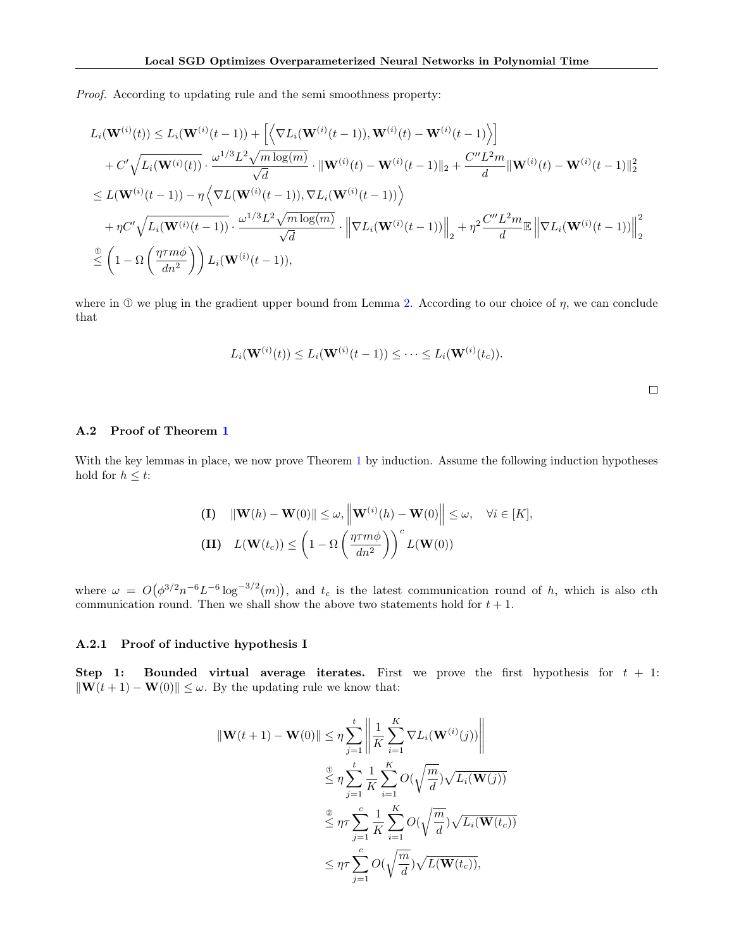Proof. According to updating rule and the semi smoothness property:

$$
L_i(\mathbf{W}^{(i)}(t)) \leq L_i(\mathbf{W}^{(i)}(t-1)) + \left[ \left\langle \nabla L_i(\mathbf{W}^{(i)}(t-1)), \mathbf{W}^{(i)}(t) - \mathbf{W}^{(i)}(t-1) \right\rangle \right] + C' \sqrt{L_i(\mathbf{W}^{(i)}(t))} \cdot \frac{\omega^{1/3} L^2 \sqrt{m \log(m)}}{\sqrt{d}} \cdot \|\mathbf{W}^{(i)}(t) - \mathbf{W}^{(i)}(t-1)\|_2 + \frac{C'' L^2 m}{d} \|\mathbf{W}^{(i)}(t) - \mathbf{W}^{(i)}(t-1)\|_2^2 \leq L(\mathbf{W}^{(i)}(t-1)) - \eta \left\langle \nabla L(\mathbf{W}^{(i)}(t-1)), \nabla L_i(\mathbf{W}^{(i)}(t-1)) \right\rangle + \eta C' \sqrt{L_i(\mathbf{W}^{(i)}(t-1))} \cdot \frac{\omega^{1/3} L^2 \sqrt{m \log(m)}}{\sqrt{d}} \cdot \left\| \nabla L_i(\mathbf{W}^{(i)}(t-1)) \right\|_2^2 + \eta^2 \frac{C'' L^2 m}{d} \mathbb{E} \left\| \nabla L_i(\mathbf{W}^{(i)}(t-1)) \right\|_2^2 \n\frac{\mathbb{Q}}{\leq} \left( 1 - \Omega \left( \frac{\eta \tau m \phi}{dn^2} \right) \right) L_i(\mathbf{W}^{(i)}(t-1)),
$$

where in  $\Phi$  we plug in the gradient upper bound from Lemma [2.](#page-5-0) According to our choice of  $\eta$ , we can conclude that

$$
L_i(\mathbf{W}^{(i)}(t)) \le L_i(\mathbf{W}^{(i)}(t-1)) \le \cdots \le L_i(\mathbf{W}^{(i)}(t_c)).
$$

#### A.2 Proof of Theorem [1](#page-3-1)

With the key lemmas in place, we now prove Theorem [1](#page-3-1) by induction. Assume the following induction hypotheses hold for  $h \leq t$ :

(1) 
$$
\|\mathbf{W}(h) - \mathbf{W}(0)\| \le \omega, \left\|\mathbf{W}^{(i)}(h) - \mathbf{W}(0)\right\| \le \omega, \quad \forall i \in [K],
$$
  
(II)  $L(\mathbf{W}(t_c)) \le \left(1 - \Omega\left(\frac{\eta \tau m \phi}{dn^2}\right)\right)^c L(\mathbf{W}(0))$ 

where  $\omega = O(\phi^{3/2} n^{-6} L^{-6} \log^{-3/2}(m))$ , and  $t_c$  is the latest communication round of h, which is also cth communication round. Then we shall show the above two statements hold for  $t + 1$ .

#### A.2.1 Proof of inductive hypothesis I

Step 1: Bounded virtual average iterates. First we prove the first hypothesis for  $t + 1$ :  $\|\mathbf{W}(t + 1) - \mathbf{W}(0)\| \leq \omega$ . By the updating rule we know that:

$$
\begin{aligned} \|\mathbf{W}(t+1) - \mathbf{W}(0)\| &\leq \eta \sum_{j=1}^{t} \left\| \frac{1}{K} \sum_{i=1}^{K} \nabla L_i(\mathbf{W}^{(i)}(j)) \right\| \\ &\stackrel{\odot}{\leq} \eta \sum_{j=1}^{t} \frac{1}{K} \sum_{i=1}^{K} O(\sqrt{\frac{m}{d}}) \sqrt{L_i(\mathbf{W}(j))} \\ &\stackrel{\odot}{\leq} \eta \tau \sum_{j=1}^{c} \frac{1}{K} \sum_{i=1}^{K} O(\sqrt{\frac{m}{d}}) \sqrt{L_i(\mathbf{W}(t_c))} \\ &\leq \eta \tau \sum_{j=1}^{c} O(\sqrt{\frac{m}{d}}) \sqrt{L(\mathbf{W}(t_c))}, \end{aligned}
$$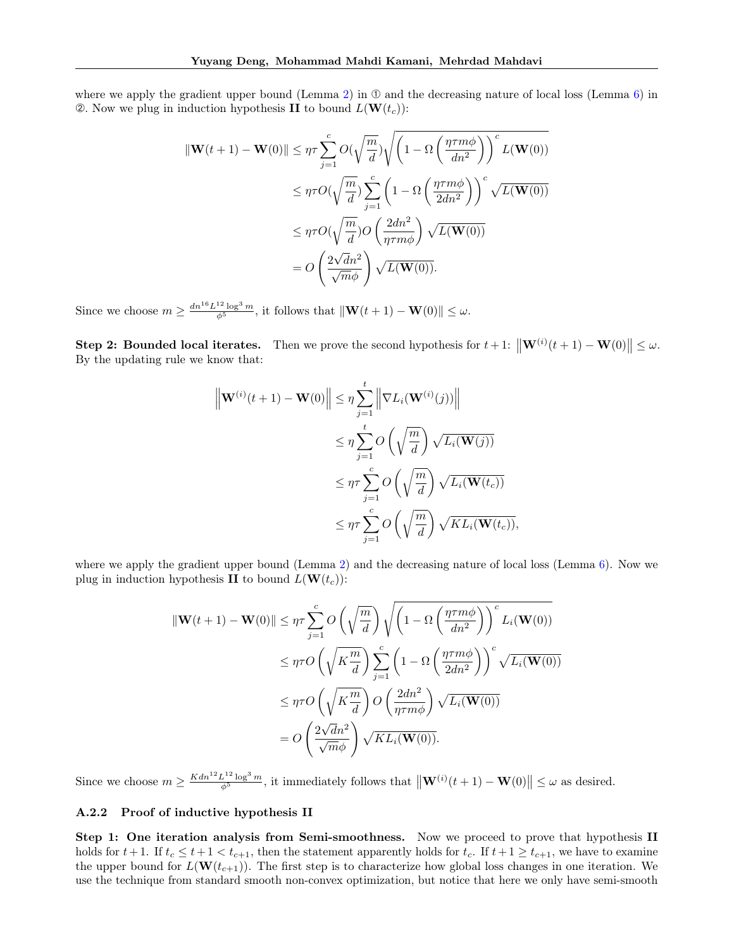where we apply the gradient upper bound (Lemma [2\)](#page-5-0) in  $\odot$  and the decreasing nature of local loss (Lemma [6\)](#page-12-0) in  $\mathcal{Q}$ . Now we plug in induction hypothesis II to bound  $L(\mathbf{W}(t_c))$ :

$$
\begin{split} \|\mathbf{W}(t+1) - \mathbf{W}(0)\| &\leq \eta \tau \sum_{j=1}^{c} O(\sqrt{\frac{m}{d}}) \sqrt{\left(1 - \Omega\left(\frac{\eta \tau m \phi}{dn^2}\right)\right)^c} L(\mathbf{W}(0)) \\ &\leq \eta \tau O(\sqrt{\frac{m}{d}}) \sum_{j=1}^{c} \left(1 - \Omega\left(\frac{\eta \tau m \phi}{2dn^2}\right)\right)^c \sqrt{L(\mathbf{W}(0))} \\ &\leq \eta \tau O(\sqrt{\frac{m}{d}}) O\left(\frac{2dn^2}{\eta \tau m \phi}\right) \sqrt{L(\mathbf{W}(0))} \\ &= O\left(\frac{2\sqrt{dn^2}}{\sqrt{m}\phi}\right) \sqrt{L(\mathbf{W}(0))}. \end{split}
$$

Since we choose  $m \geq \frac{dn^{16}L^{12} \log^3 m}{\phi^5}$ , it follows that  $\|\mathbf{W}(t+1) - \mathbf{W}(0)\| \leq \omega$ .

Step 2: Bounded local iterates. Then we prove the second hypothesis for  $t + 1$ :  $\|\mathbf{W}^{(i)}(t+1) - \mathbf{W}(0)\| \leq \omega$ . By the updating rule we know that:

$$
\left\| \mathbf{W}^{(i)}(t+1) - \mathbf{W}(0) \right\| \leq \eta \sum_{j=1}^{t} \left\| \nabla L_i(\mathbf{W}^{(i)}(j)) \right\|
$$
  

$$
\leq \eta \sum_{j=1}^{t} O\left(\sqrt{\frac{m}{d}}\right) \sqrt{L_i(\mathbf{W}(j))}
$$
  

$$
\leq \eta \tau \sum_{j=1}^{c} O\left(\sqrt{\frac{m}{d}}\right) \sqrt{L_i(\mathbf{W}(t_c))}
$$
  

$$
\leq \eta \tau \sum_{j=1}^{c} O\left(\sqrt{\frac{m}{d}}\right) \sqrt{KL_i(\mathbf{W}(t_c))},
$$

where we apply the gradient upper bound (Lemma [2\)](#page-5-0) and the decreasing nature of local loss (Lemma [6\)](#page-12-0). Now we plug in induction hypothesis II to bound  $L(\mathbf{W}(t_c))$ :

$$
\|\mathbf{W}(t+1) - \mathbf{W}(0)\| \leq \eta \tau \sum_{j=1}^{c} O\left(\sqrt{\frac{m}{d}}\right) \sqrt{\left(1 - \Omega\left(\frac{\eta \tau m \phi}{dn^2}\right)\right)^c L_i(\mathbf{W}(0))}
$$
  

$$
\leq \eta \tau O\left(\sqrt{K \frac{m}{d}}\right) \sum_{j=1}^{c} \left(1 - \Omega\left(\frac{\eta \tau m \phi}{2dn^2}\right)\right)^c \sqrt{L_i(\mathbf{W}(0))}
$$
  

$$
\leq \eta \tau O\left(\sqrt{K \frac{m}{d}}\right) O\left(\frac{2dn^2}{\eta \tau m \phi}\right) \sqrt{L_i(\mathbf{W}(0))}
$$
  

$$
= O\left(\frac{2\sqrt{dn^2}}{\sqrt{m}\phi}\right) \sqrt{KL_i(\mathbf{W}(0))}.
$$

Since we choose  $m \ge \frac{Kdn^{12}L^{12}\log^3 m}{\phi^5}$ , it immediately follows that  $\|\mathbf{W}^{(i)}(t+1) - \mathbf{W}(0)\| \le \omega$  as desired.

#### A.2.2 Proof of inductive hypothesis II

Step 1: One iteration analysis from Semi-smoothness. Now we proceed to prove that hypothesis II holds for  $t+1$ . If  $t_c \leq t+1 < t_{c+1}$ , then the statement apparently holds for  $t_c$ . If  $t+1 \geq t_{c+1}$ , we have to examine the upper bound for  $L(\mathbf{W}(t_{c+1}))$ . The first step is to characterize how global loss changes in one iteration. We use the technique from standard smooth non-convex optimization, but notice that here we only have semi-smooth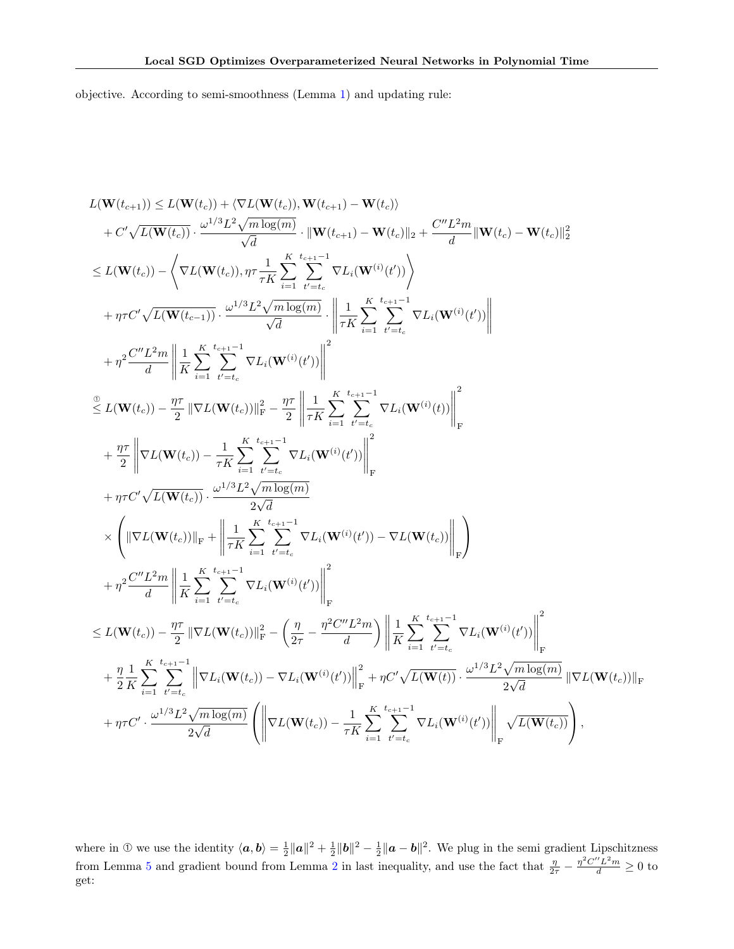objective. According to semi-smoothness (Lemma [1\)](#page-4-1) and updating rule:

$$
L(\mathbf{W}(t_{c+1})) \leq L(\mathbf{W}(t_{c})) + \langle \nabla L(\mathbf{W}(t_{c})) , \mathbf{W}(t_{c+1}) - \mathbf{W}(t_{c}) \rangle
$$
  
+  $C' \sqrt{L(\mathbf{W}(t_{c}))} \cdot \frac{\omega^{1/3} L^{2} \sqrt{m \log(m)}}{\sqrt{d}} \cdot || \mathbf{W}(t_{c+1}) - \mathbf{W}(t_{c}) ||_{2} + \frac{C'' L^{2} m}{d} || \mathbf{W}(t_{c}) - \mathbf{W}(t_{c}) ||_{2}^{2}$   

$$
\leq L(\mathbf{W}(t_{c})) - \Big\langle \nabla L(\mathbf{W}(t_{c})), \eta \tau \frac{1}{\tau K} \sum_{i=1}^{K} \sum_{t'=t_{c}}^{t_{e+1}-1} \nabla L_{i}(\mathbf{W}^{(i)}(t')) \Big\rangle
$$
  
+  $\eta \tau C' \sqrt{L(\mathbf{W}(t_{c-1}))} \cdot \frac{\omega^{1/3} L^{2} \sqrt{m \log(m)}}{\sqrt{d}} \cdot \Bigg\| \frac{1}{\tau K} \sum_{i=1}^{K} \sum_{t'=t_{c}}^{t_{c+1}-1} \nabla L_{i}(\mathbf{W}^{(i)}(t')) \Bigg\|$   
+  $\eta^{2} \frac{C'' L^{2} m}{d} \Bigg\| \frac{1}{K} \sum_{i=1}^{K} \sum_{t'=t_{c}}^{t_{e+1}-1} \nabla L_{i}(\mathbf{W}^{(i)}(t')) \Bigg\|^{2}$   

$$
\frac{2}{\tau} L(\mathbf{W}(t_{c})) - \frac{\eta \tau}{2} \|\nabla L(\mathbf{W}(t_{c}))\|_{\text{F}}^{2} - \frac{\eta \tau}{2} \Bigg\| \frac{1}{\tau K} \sum_{i=1}^{K} \sum_{t'=t_{c}}^{t_{e+1}-1} \nabla L_{i}(\mathbf{W}^{(i)}(t)) \Bigg\|_{\text{F}}^{2}
$$
  
+  $\eta \tau C' \sqrt{L(\mathbf{W}(t_{c}))} \cdot \frac{\omega^{1/3} L^{2} \sqrt{m \log(m)}}{2\sqrt{d}}$   

$$
\times \Bigg( \|\nabla L(\mathbf{
$$

where in ① we use the identity  $\langle a, b \rangle = \frac{1}{2} ||a||^2 + \frac{1}{2} ||b||^2 - \frac{1}{2} ||a - b||^2$ . We plug in the semi gradient Lipschitzness from Lemma [5](#page-11-0) and gradient bound from Lemma [2](#page-5-0) in last inequality, and use the fact that  $\frac{\eta}{2\tau} - \frac{\eta^2 C'' L^2 m}{d} \ge 0$  to get: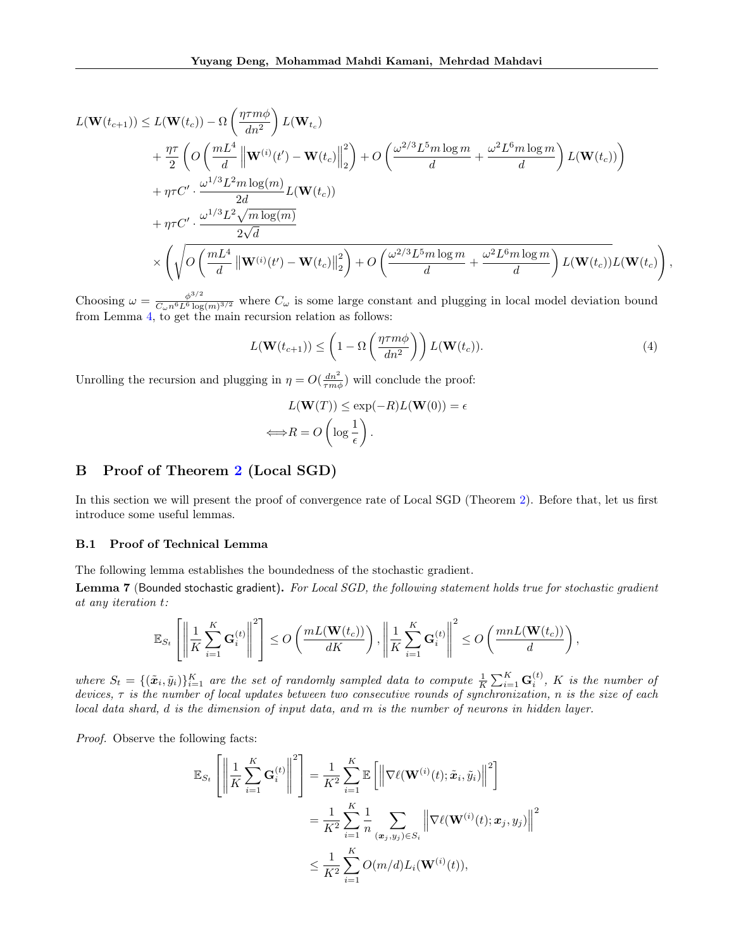$$
L(\mathbf{W}(t_{c+1})) \leq L(\mathbf{W}(t_c)) - \Omega \left( \frac{\eta \tau m \phi}{dn^2} \right) L(\mathbf{W}_{t_c})
$$
  
+ 
$$
\frac{\eta \tau}{2} \left( O\left( \frac{mL^4}{d} \left\| \mathbf{W}^{(i)}(t') - \mathbf{W}(t_c) \right\|_2^2 \right) + O\left( \frac{\omega^{2/3} L^5 m \log m}{d} + \frac{\omega^2 L^6 m \log m}{d} \right) L(\mathbf{W}(t_c)) \right)
$$
  
+ 
$$
\eta \tau C' \cdot \frac{\omega^{1/3} L^2 m \log(m)}{2d} L(\mathbf{W}(t_c))
$$
  
+ 
$$
\eta \tau C' \cdot \frac{\omega^{1/3} L^2 \sqrt{m \log(m)}}{2\sqrt{d}}
$$
  

$$
\times \left( \sqrt{O\left( \frac{mL^4}{d} \left\| \mathbf{W}^{(i)}(t') - \mathbf{W}(t_c) \right\|_2^2 \right) + O\left( \frac{\omega^{2/3} L^5 m \log m}{d} + \frac{\omega^2 L^6 m \log m}{d} \right) L(\mathbf{W}(t_c))} L(\mathbf{W}(t_c)) \right)
$$

Choosing  $\omega = \frac{\phi^{3/2}}{C_0 r^6 L_0^6 \log r}$  $\frac{\phi^{s/2}}{C_{\omega}n^6L^6 \log(m)^{3/2}}$  where  $C_{\omega}$  is some large constant and plugging in local model deviation bound from Lemma [4,](#page-10-2) to get the main recursion relation as follows:

$$
L(\mathbf{W}(t_{c+1})) \le \left(1 - \Omega\left(\frac{\eta \tau m \phi}{dn^2}\right)\right) L(\mathbf{W}(t_c)).
$$
\n(4)

,

Unrolling the recursion and plugging in  $\eta = O(\frac{dn^2}{rm\phi})$  will conclude the proof:

$$
L(\mathbf{W}(T)) \le \exp(-R)L(\mathbf{W}(0)) = \epsilon
$$
  

$$
\Longleftrightarrow R = O\left(\log \frac{1}{\epsilon}\right).
$$

### B Proof of Theorem [2](#page-3-2) (Local SGD)

In this section we will present the proof of convergence rate of Local SGD (Theorem [2\)](#page-3-2). Before that, let us first introduce some useful lemmas.

#### B.1 Proof of Technical Lemma

The following lemma establishes the boundedness of the stochastic gradient.

Lemma 7 (Bounded stochastic gradient). For Local SGD, the following statement holds true for stochastic gradient at any iteration t:

$$
\mathbb{E}_{S_t}\left[\left\|\frac{1}{K}\sum_{i=1}^K\mathbf{G}_i^{(t)}\right\|^2\right] \leq O\left(\frac{mL(\mathbf{W}(t_c))}{dK}\right), \left\|\frac{1}{K}\sum_{i=1}^K\mathbf{G}_i^{(t)}\right\|^2 \leq O\left(\frac{mnL(\mathbf{W}(t_c))}{d}\right),
$$

where  $S_t = \{(\tilde{x}_i, \tilde{y}_i)\}_{i=1}^K$  are the set of randomly sampled data to compute  $\frac{1}{K} \sum_{i=1}^K \mathbf{G}_i^{(t)}$ , K is the number of devices,  $\tau$  is the number of local updates between two consecutive rounds of synchronization, n is the size of each local data shard, d is the dimension of input data, and m is the number of neurons in hidden layer.

Proof. Observe the following facts:

$$
\mathbb{E}_{S_t} \left[ \left\| \frac{1}{K} \sum_{i=1}^K \mathbf{G}_i^{(t)} \right\|^2 \right] = \frac{1}{K^2} \sum_{i=1}^K \mathbb{E} \left[ \left\| \nabla \ell(\mathbf{W}^{(i)}(t); \tilde{\mathbf{x}}_i, \tilde{y}_i) \right\|^2 \right]
$$
  

$$
= \frac{1}{K^2} \sum_{i=1}^K \frac{1}{n} \sum_{(\mathbf{x}_j, y_j) \in S_i} \left\| \nabla \ell(\mathbf{W}^{(i)}(t); \mathbf{x}_j, y_j) \right\|^2
$$
  

$$
\leq \frac{1}{K^2} \sum_{i=1}^K O(m/d) L_i(\mathbf{W}^{(i)}(t)),
$$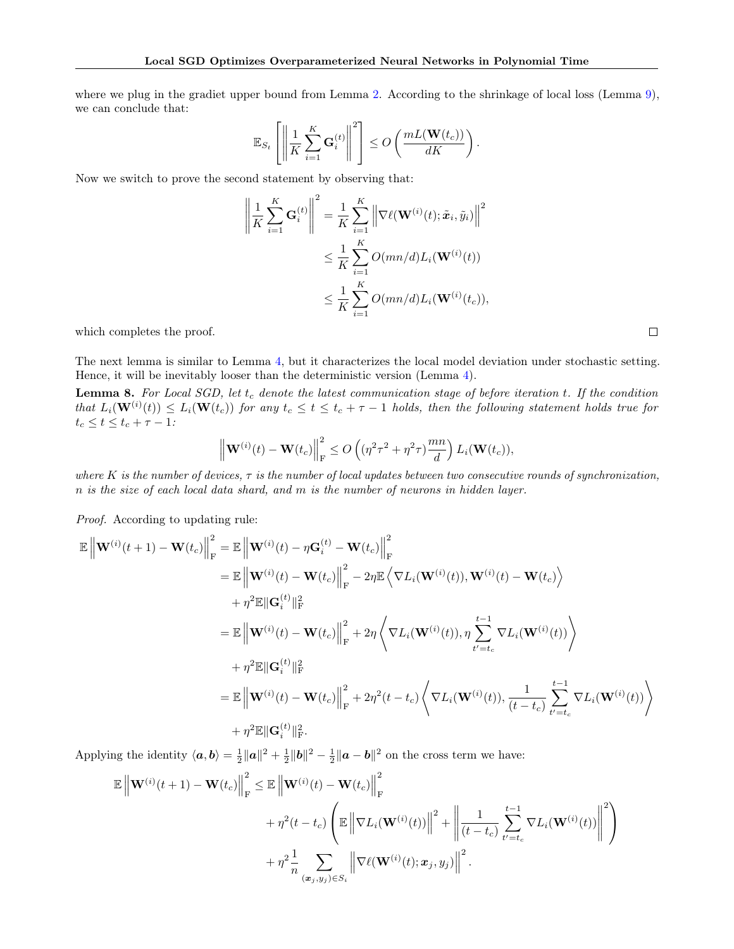where we plug in the gradiet upper bound from Lemma [2.](#page-5-0) According to the shrinkage of local loss (Lemma [9\)](#page-18-0), we can conclude that:

$$
\mathbb{E}_{S_t}\left[\left\|\frac{1}{K}\sum_{i=1}^K\mathbf{G}_i^{(t)}\right\|^2\right] \leq O\left(\frac{mL(\mathbf{W}(t_c))}{dK}\right).
$$

Now we switch to prove the second statement by observing that:

$$
\left\| \frac{1}{K} \sum_{i=1}^{K} \mathbf{G}_i^{(t)} \right\|^2 = \frac{1}{K} \sum_{i=1}^{K} \left\| \nabla \ell(\mathbf{W}^{(i)}(t); \tilde{\boldsymbol{x}}_i, \tilde{y}_i) \right\|^2
$$
  

$$
\leq \frac{1}{K} \sum_{i=1}^{K} O(mn/d) L_i(\mathbf{W}^{(i)}(t))
$$
  

$$
\leq \frac{1}{K} \sum_{i=1}^{K} O(mn/d) L_i(\mathbf{W}^{(i)}(t_c)),
$$

which completes the proof.

The next lemma is similar to Lemma [4,](#page-10-2) but it characterizes the local model deviation under stochastic setting. Hence, it will be inevitably looser than the deterministic version (Lemma [4\)](#page-10-2).

<span id="page-17-0"></span>**Lemma 8.** For Local SGD, let  $t_c$  denote the latest communication stage of before iteration  $t$ . If the condition that  $L_i(\mathbf{W}^{(i)}(t)) \leq L_i(\mathbf{W}(t_c))$  for any  $t_c \leq t \leq t_c + \tau - 1$  holds, then the following statement holds true for  $t_c \le t \le t_c + \tau - 1$ :

$$
\left\|\mathbf{W}^{(i)}(t)-\mathbf{W}(t_c)\right\|_{\mathrm{F}}^2 \leq O\left((\eta^2\tau^2+\eta^2\tau)\frac{mn}{d}\right)L_i(\mathbf{W}(t_c)),
$$

where K is the number of devices,  $\tau$  is the number of local updates between two consecutive rounds of synchronization, n is the size of each local data shard, and m is the number of neurons in hidden layer.

Proof. According to updating rule:

$$
\mathbb{E} \left\| \mathbf{W}^{(i)}(t+1) - \mathbf{W}(t_c) \right\|_{\mathrm{F}}^2 = \mathbb{E} \left\| \mathbf{W}^{(i)}(t) - \eta \mathbf{G}_i^{(t)} - \mathbf{W}(t_c) \right\|_{\mathrm{F}}^2
$$
\n
$$
= \mathbb{E} \left\| \mathbf{W}^{(i)}(t) - \mathbf{W}(t_c) \right\|_{\mathrm{F}}^2 - 2\eta \mathbb{E} \left\langle \nabla L_i(\mathbf{W}^{(i)}(t)), \mathbf{W}^{(i)}(t) - \mathbf{W}(t_c) \right\rangle
$$
\n
$$
+ \eta^2 \mathbb{E} \|\mathbf{G}_i^{(t)}\|_{\mathrm{F}}^2
$$
\n
$$
= \mathbb{E} \left\| \mathbf{W}^{(i)}(t) - \mathbf{W}(t_c) \right\|_{\mathrm{F}}^2 + 2\eta \left\langle \nabla L_i(\mathbf{W}^{(i)}(t)), \eta \sum_{t'=t_c}^{t-1} \nabla L_i(\mathbf{W}^{(i)}(t)) \right\rangle
$$
\n
$$
+ \eta^2 \mathbb{E} \|\mathbf{G}_i^{(t)}\|_{\mathrm{F}}^2
$$
\n
$$
= \mathbb{E} \left\| \mathbf{W}^{(i)}(t) - \mathbf{W}(t_c) \right\|_{\mathrm{F}}^2 + 2\eta^2 (t - t_c) \left\langle \nabla L_i(\mathbf{W}^{(i)}(t)), \frac{1}{(t - t_c)} \sum_{t'=t_c}^{t-1} \nabla L_i(\mathbf{W}^{(i)}(t)) \right\rangle
$$
\n
$$
+ \eta^2 \mathbb{E} \|\mathbf{G}_i^{(t)}\|_{\mathrm{F}}^2.
$$

Applying the identity  $\langle a, b \rangle = \frac{1}{2} ||a||^2 + \frac{1}{2} ||b||^2 - \frac{1}{2} ||a - b||^2$  on the cross term we have:

$$
\mathbb{E}\left\|\mathbf{W}^{(i)}(t+1) - \mathbf{W}(t_c)\right\|_{\mathrm{F}}^2 \leq \mathbb{E}\left\|\mathbf{W}^{(i)}(t) - \mathbf{W}(t_c)\right\|_{\mathrm{F}}^2
$$
  
+ 
$$
\eta^2(t - t_c) \left(\mathbb{E}\left\|\nabla L_i(\mathbf{W}^{(i)}(t))\right\|^2 + \left\|\frac{1}{(t - t_c)}\sum_{t'=t_c}^{t-1} \nabla L_i(\mathbf{W}^{(i)}(t))\right\|^2\right)
$$
  
+ 
$$
\eta^2 \frac{1}{n} \sum_{(\mathbf{x}_j, y_j) \in S_i} \left\|\nabla \ell(\mathbf{W}^{(i)}(t); \mathbf{x}_j, y_j)\right\|^2.
$$

 $\Box$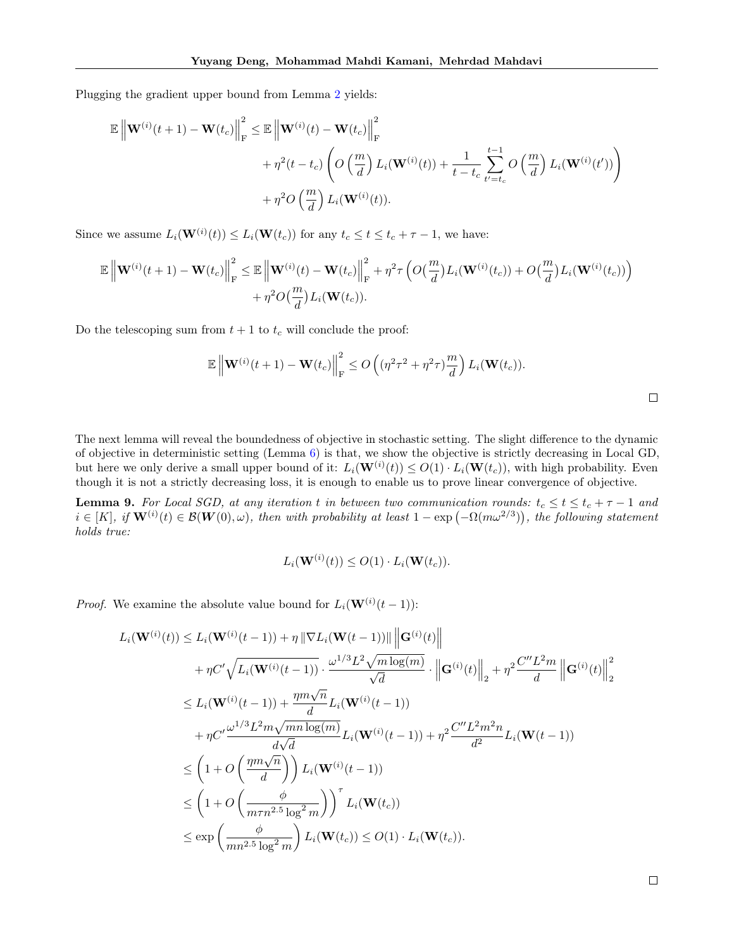Plugging the gradient upper bound from Lemma [2](#page-5-0) yields:

$$
\mathbb{E}\left\|\mathbf{W}^{(i)}(t+1) - \mathbf{W}(t_c)\right\|_{\mathrm{F}}^2 \leq \mathbb{E}\left\|\mathbf{W}^{(i)}(t) - \mathbf{W}(t_c)\right\|_{\mathrm{F}}^2
$$
  
+  $\eta^2(t - t_c) \left( O\left(\frac{m}{d}\right) L_i(\mathbf{W}^{(i)}(t)) + \frac{1}{t - t_c} \sum_{t'=t_c}^{t-1} O\left(\frac{m}{d}\right) L_i(\mathbf{W}^{(i)}(t'))\right)$   
+  $\eta^2 O\left(\frac{m}{d}\right) L_i(\mathbf{W}^{(i)}(t)).$ 

Since we assume  $L_i(\mathbf{W}^{(i)}(t)) \leq L_i(\mathbf{W}(t_c))$  for any  $t_c \leq t \leq t_c + \tau - 1$ , we have:

$$
\mathbb{E}\left\|\mathbf{W}^{(i)}(t+1) - \mathbf{W}(t_c)\right\|_{\mathrm{F}}^2 \leq \mathbb{E}\left\|\mathbf{W}^{(i)}(t) - \mathbf{W}(t_c)\right\|_{\mathrm{F}}^2 + \eta^2 \tau \left(O\left(\frac{m}{d}\right)L_i(\mathbf{W}^{(i)}(t_c)) + O\left(\frac{m}{d}\right)L_i(\mathbf{W}^{(i)}(t_c))\right) + \eta^2 O\left(\frac{m}{d}\right)L_i(\mathbf{W}(t_c)).
$$

Do the telescoping sum from  $t + 1$  to  $t_c$  will conclude the proof:

$$
\mathbb{E}\left\|\mathbf{W}^{(i)}(t+1)-\mathbf{W}(t_c)\right\|_{\mathrm{F}}^2 \leq O\left((\eta^2\tau^2+\eta^2\tau)\frac{m}{d}\right)L_i(\mathbf{W}(t_c)).
$$

The next lemma will reveal the boundedness of objective in stochastic setting. The slight difference to the dynamic of objective in deterministic setting (Lemma [6\)](#page-12-0) is that, we show the objective is strictly decreasing in Local GD, but here we only derive a small upper bound of it:  $L_i(\mathbf{W}^{(i)}(t)) \leq O(1) \cdot L_i(\mathbf{W}(t_c))$ , with high probability. Even though it is not a strictly decreasing loss, it is enough to enable us to prove linear convergence of objective.

<span id="page-18-0"></span>**Lemma 9.** For Local SGD, at any iteration t in between two communication rounds:  $t_c \le t \le t_c + \tau - 1$  and  $i \in [K], \ if \mathbf{W}^{(i)}(t) \in \mathcal{B}(\mathbf{W}(0), \omega)$ , then with probability at least  $1 - \exp(-\Omega(m\omega^{2/3}))$ , the following statement holds true:

$$
L_i(\mathbf{W}^{(i)}(t)) \le O(1) \cdot L_i(\mathbf{W}(t_c)).
$$

*Proof.* We examine the absolute value bound for  $L_i(\mathbf{W}^{(i)}(t-1))$ :

$$
L_i(\mathbf{W}^{(i)}(t)) \leq L_i(\mathbf{W}^{(i)}(t-1)) + \eta \|\nabla L_i(\mathbf{W}(t-1))\| \|\mathbf{G}^{(i)}(t)\| + \eta C' \sqrt{L_i(\mathbf{W}^{(i)}(t-1))} \cdot \frac{\omega^{1/3} L^2 \sqrt{m \log(m)}}{\sqrt{d}} \cdot \left\| \mathbf{G}^{(i)}(t) \right\|_2 + \eta^2 \frac{C'' L^2 m}{d} \left\| \mathbf{G}^{(i)}(t) \right\|_2^2 \n\leq L_i(\mathbf{W}^{(i)}(t-1)) + \frac{\eta m \sqrt{n}}{d} L_i(\mathbf{W}^{(i)}(t-1)) + \eta C' \frac{\omega^{1/3} L^2 m \sqrt{mn \log(m)}}{d \sqrt{d}} L_i(\mathbf{W}^{(i)}(t-1)) + \eta^2 \frac{C'' L^2 m^2 n}{d^2} L_i(\mathbf{W}(t-1)) \n\leq \left(1 + O\left(\frac{\eta m \sqrt{n}}{d}\right)\right) L_i(\mathbf{W}^{(i)}(t-1)) \n\leq \left(1 + O\left(\frac{\phi}{m \tau n^{2.5} \log^2 m}\right)\right)^{\tau} L_i(\mathbf{W}(t_c)) \n\leq \exp\left(\frac{\phi}{mn^{2.5} \log^2 m}\right) L_i(\mathbf{W}(t_c)) \leq O(1) \cdot L_i(\mathbf{W}(t_c)).
$$

 $\Box$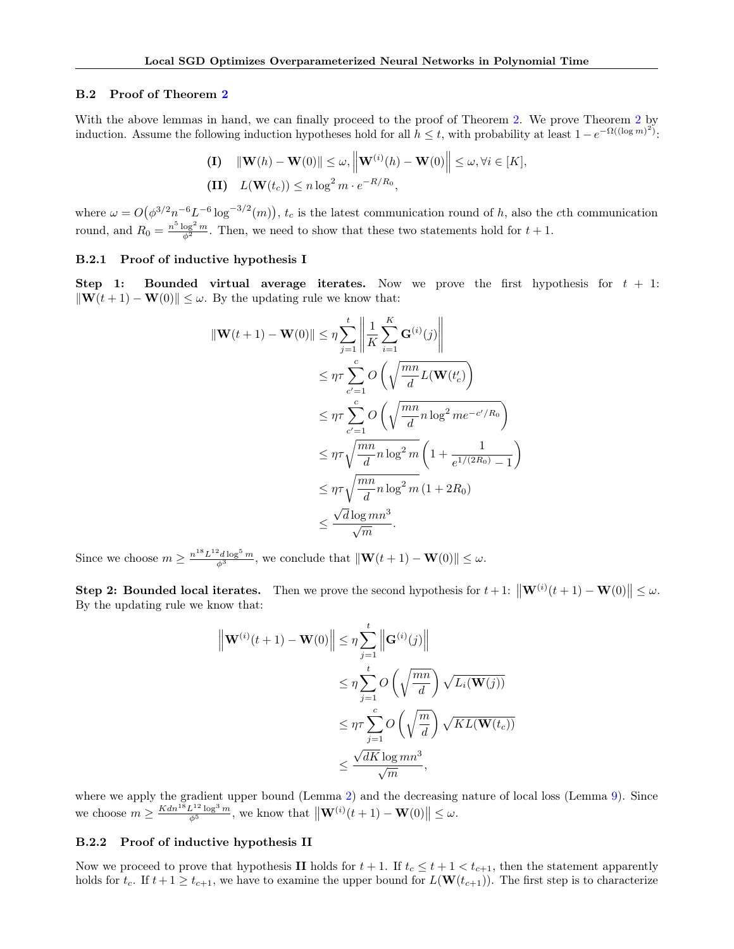#### B.2 Proof of Theorem [2](#page-3-2)

With the above lemmas in hand, we can finally proceed to the proof of Theorem [2.](#page-3-2) We prove Theorem [2](#page-3-2) by induction. Assume the following induction hypotheses hold for all  $h \leq t$ , with probability at least  $1 - e^{-\Omega((\log m)^2)}$ .

(I) 
$$
\|\mathbf{W}(h) - \mathbf{W}(0)\| \le \omega, \|\mathbf{W}^{(i)}(h) - \mathbf{W}(0)\| \le \omega, \forall i \in [K],
$$
  
(II)  $L(\mathbf{W}(t_c)) \le n \log^2 m \cdot e^{-R/R_0}$ ,

where  $\omega = O(\phi^{3/2} n^{-6} L^{-6} \log^{-3/2}(m))$ ,  $t_c$  is the latest communication round of h, also the cth communication round, and  $R_0 = \frac{n^5 \log^2 m}{\phi^2}$ . Then, we need to show that these two statements hold for  $t + 1$ .

#### B.2.1 Proof of inductive hypothesis I

Step 1: Bounded virtual average iterates. Now we prove the first hypothesis for  $t + 1$ :  $\|\mathbf{W}(t + 1) - \mathbf{W}(0)\| \leq \omega$ . By the updating rule we know that:

$$
\begin{aligned} \|\mathbf{W}(t+1) - \mathbf{W}(0)\| &\leq \eta \sum_{j=1}^{t} \left\| \frac{1}{K} \sum_{i=1}^{K} \mathbf{G}^{(i)}(j) \right\| \\ &\leq \eta \tau \sum_{c'=1}^{c} O\left(\sqrt{\frac{mn}{d}} L(\mathbf{W}(t'_{c})\right) \\ &\leq \eta \tau \sum_{c'=1}^{c} O\left(\sqrt{\frac{mn}{d}} n \log^{2} m e^{-c'/R_{0}}\right) \\ &\leq \eta \tau \sqrt{\frac{mn}{d}} n \log^{2} m \left(1 + \frac{1}{e^{1/(2R_{0})} - 1}\right) \\ &\leq \eta \tau \sqrt{\frac{mn}{d}} n \log^{2} m \left(1 + 2R_{0}\right) \\ &\leq \frac{\sqrt{d} \log mn^{3}}{\sqrt{m}} .\end{aligned}
$$

Since we choose  $m \ge \frac{n^{18}L^{12}d \log^5 m}{\phi^3}$ , we conclude that  $\|\mathbf{W}(t+1) - \mathbf{W}(0)\| \le \omega$ .

Step 2: Bounded local iterates. Then we prove the second hypothesis for  $t + 1$ :  $\|\mathbf{W}^{(i)}(t+1) - \mathbf{W}(0)\| \leq \omega$ . By the updating rule we know that:

$$
\left\| \mathbf{W}^{(i)}(t+1) - \mathbf{W}(0) \right\| \leq \eta \sum_{j=1}^{t} \left\| \mathbf{G}^{(i)}(j) \right\|
$$
  

$$
\leq \eta \sum_{j=1}^{t} O\left(\sqrt{\frac{mn}{d}}\right) \sqrt{L_i(\mathbf{W}(j))}
$$
  

$$
\leq \eta \tau \sum_{j=1}^{c} O\left(\sqrt{\frac{m}{d}}\right) \sqrt{KL(\mathbf{W}(t_c))}
$$
  

$$
\leq \frac{\sqrt{dK} \log mn^3}{\sqrt{m}},
$$

where we apply the gradient upper bound (Lemma [2\)](#page-5-0) and the decreasing nature of local loss (Lemma [9\)](#page-18-0). Since we choose  $m \ge \frac{Kdn^{18}L^{12}\log^3 m}{\phi^5}$ , we know that  $\|\mathbf{W}^{(i)}(t+1) - \mathbf{W}(0)\| \le \omega$ .

#### B.2.2 Proof of inductive hypothesis II

Now we proceed to prove that hypothesis II holds for  $t + 1$ . If  $t_c \le t + 1 < t_{c+1}$ , then the statement apparently holds for  $t_c$ . If  $t + 1 \ge t_{c+1}$ , we have to examine the upper bound for  $L(\mathbf{W}(t_{c+1}))$ . The first step is to characterize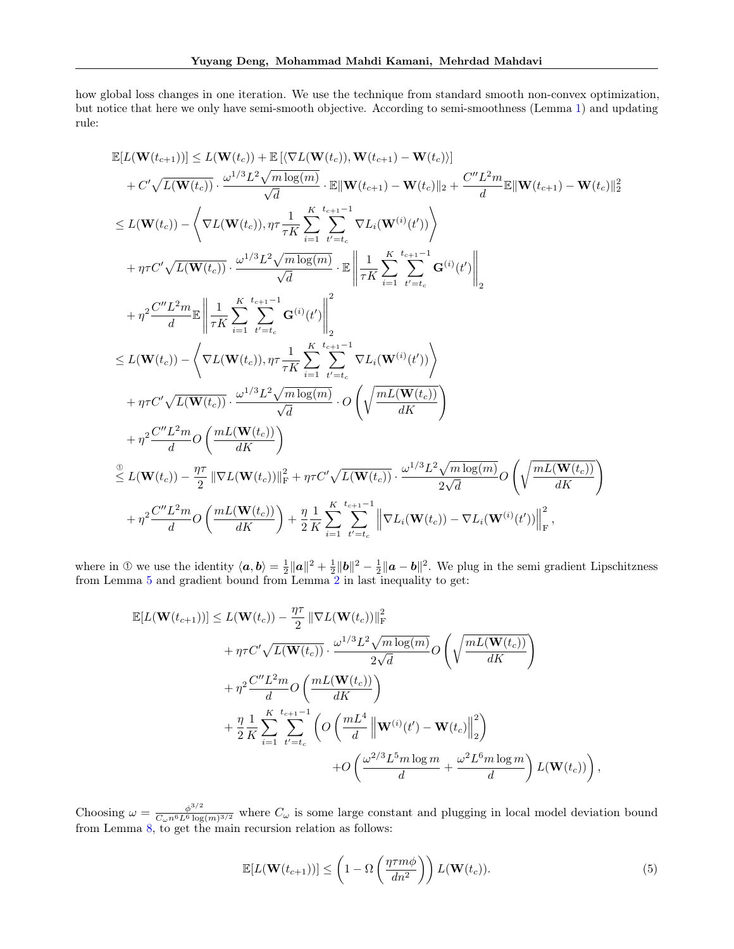how global loss changes in one iteration. We use the technique from standard smooth non-convex optimization, but notice that here we only have semi-smooth objective. According to semi-smoothness (Lemma [1\)](#page-4-1) and updating rule:

$$
\begin{split} &\mathbb{E}[L(\mathbf{W}(t_{c+1}))]\leq L(\mathbf{W}(t_{c}))+\mathbb{E}\left[\langle\nabla L(\mathbf{W}(t_{c})) ,\mathbf{W}(t_{c+1})-\mathbf{W}(t_{c})\rangle\right] \\ &+C'\sqrt{L(\mathbf{W}(t_{c}))}\cdot\frac{\omega^{1/3}L^{2}\sqrt{m\log(m)}}{\sqrt{d}}\cdot\mathbb{E}\|\mathbf{W}(t_{c+1})-\mathbf{W}(t_{c})\|_{2}+\frac{C''L^{2}m}{d}\mathbb{E}\|\mathbf{W}(t_{c+1})-\mathbf{W}(t_{c})\|_{2}^{2}}{2} \\ &\leq L(\mathbf{W}(t_{c}))-\left\langle\nabla L(\mathbf{W}(t_{c})),\eta\tau\frac{1}{\tau K}\sum_{i=1}^{K}\sum_{t'=t_{c}}^{t_{c+1}-1}\nabla L_{i}(\mathbf{W}^{(i)}(t'))\right\rangle \\ &+\eta\tau C'\sqrt{L(\mathbf{W}(t_{c}))}\cdot\frac{\omega^{1/3}L^{2}\sqrt{m\log(m)}}{\sqrt{d}}\cdot\mathbb{E}\left\|\frac{1}{\tau K}\sum_{i=1}^{K}\sum_{t'=t_{c}}^{t_{c+1}-1}\mathbf{G}^{(i)}(t')\right\|_{2} \\ &+\eta^{2}\frac{C''L^{2}m}{d}\mathbb{E}\left\|\frac{1}{\tau K}\sum_{i=1}^{K}\sum_{t'=t_{c}}^{t_{c+1}-1}\mathbf{G}^{(i)}(t')\right\|_{2}^{2} \\ &\leq L(\mathbf{W}(t_{c}))-\left\langle\nabla L(\mathbf{W}(t_{c})),\eta\tau\frac{1}{\tau K}\sum_{i=1}^{K}\sum_{t'=t_{c}}^{t_{c+1}-1}\nabla L_{i}(\mathbf{W}^{(i)}(t'))\right\rangle \\ &+\eta\tau C'\sqrt{L(\mathbf{W}(t_{c}))}\cdot\frac{\omega^{1/3}L^{2}\sqrt{m\log(m)}}{\sqrt{d}}\cdot O\left(\sqrt{\frac{mL(\mathbf{W}(t_{c}))}{dK}}\right) \\ &+\eta^{2}\frac{C''L^{2}m}{d}O\left(\frac{mL(\mathbf{W}(t_{c}))}{dK}\right) \\ &\stackrel{2}{\leq}L(\mathbf{W}(t_{c}))-\frac{\eta\
$$

where in ① we use the identity  $\langle a, b \rangle = \frac{1}{2} ||a||^2 + \frac{1}{2} ||b||^2 - \frac{1}{2} ||a - b||^2$ . We plug in the semi gradient Lipschitzness from Lemma [5](#page-11-0) and gradient bound from Lemma [2](#page-5-0) in last inequality to get:

$$
\mathbb{E}[L(\mathbf{W}(t_{c+1}))] \leq L(\mathbf{W}(t_c)) - \frac{\eta \tau}{2} \|\nabla L(\mathbf{W}(t_c))\|_{\mathrm{F}}^2 + \eta \tau C' \sqrt{L(\mathbf{W}(t_c))} \cdot \frac{\omega^{1/3} L^2 \sqrt{m \log(m)}}{2\sqrt{d}} O\left(\sqrt{\frac{mL(\mathbf{W}(t_c))}{dK}}\right) + \eta^2 \frac{C'' L^2 m}{d} O\left(\frac{mL(\mathbf{W}(t_c))}{dK}\right) + \frac{\eta}{2} \frac{L}{K} \sum_{i=1}^{K} \sum_{t'=t_c}^{t_{c+1}-1} \left(O\left(\frac{mL^4}{d} \left\|\mathbf{W}^{(i)}(t') - \mathbf{W}(t_c)\right\|_2^2\right) + O\left(\frac{\omega^{2/3} L^5 m \log m}{d} + \frac{\omega^2 L^6 m \log m}{d}\right) L(\mathbf{W}(t_c))\right)
$$

Choosing  $\omega = \frac{\phi^{3/2}}{C_1 r^6 L^6 \log r}$  $\frac{\phi^{s/2}}{C_{\omega}n^6L^6 \log(m)^{3/2}}$  where  $C_{\omega}$  is some large constant and plugging in local model deviation bound from Lemma [8,](#page-17-0) to get the main recursion relation as follows:

$$
\mathbb{E}[L(\mathbf{W}(t_{c+1}))] \leq \left(1 - \Omega\left(\frac{\eta \tau m \phi}{dn^2}\right)\right) L(\mathbf{W}(t_c)).
$$
\n(5)

<span id="page-20-0"></span>,